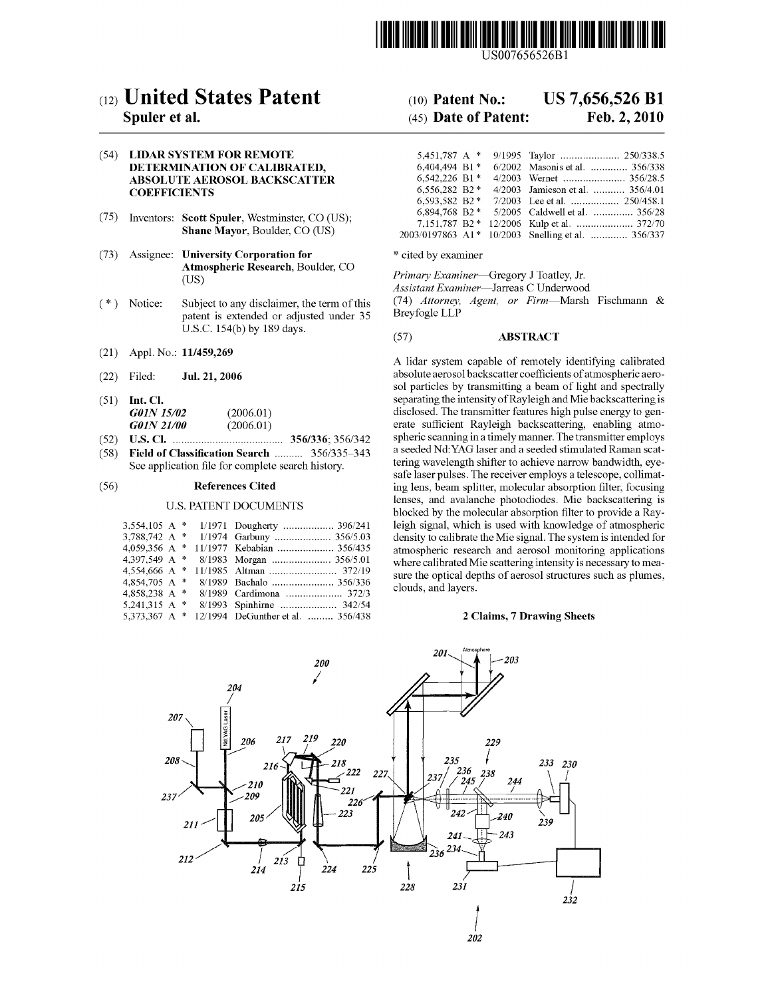

US007656526Bl

# c12) **United States Patent**

### **Spuler et al.**

(54) **LIDAR SYSTEM FOR REMOTE DETERMINATION OF CALIBRATED, ABSOLUTE AEROSOL BACKSCATTER COEFFICIENTS** 

- (75) Inventors: **Scott Spuler,** Westminster, CO (US); **Shane Mayor,** Boulder, CO (US)
- (73) Assignee: **University Corporation for Atmospheric Research,** Boulder, CO (US)
- ( \*) Notice: Subject to any disclaimer, the term of this patent is extended or adjusted under 35 U.S.C. 154(b) by 189 days.
- (21) Appl. No.: **11/459,269**
- (22) Filed: **Jul. 21, 2006**
- (51) **Int. Cl.**  *GOIN 15102* (2006.01) *GOIN 21100* (2006.01)
- (52) **U.S. Cl.** ....................................... **356/336;** 356/342
- (58) **Field of Classification Search** .......... 356/335-343 See application file for complete search history.

#### (56) **References Cited**

#### U.S. PATENT DOCUMENTS

|                 |  | 3,554,105 A * 1/1971 Dougherty  396/241 |
|-----------------|--|-----------------------------------------|
| 3.788.742 A $*$ |  | 1/1974 Garbuny  356/5.03                |
| 4.059.356 A $*$ |  | 11/1977 Kebabian  356/435               |
| 4.397.549 A $*$ |  |                                         |
| 4.554,666 A $*$ |  |                                         |
| 4.854.705 A *   |  | 8/1989 Bachalo  356/336                 |
| 4,858,238 A $*$ |  | 8/1989 Cardimona  372/3                 |
| 5,241,315 A *   |  | 8/1993 Spinhirne  342/54                |
| 5,373,367 A $*$ |  | 12/1994 DeGunther et al.  356/438       |

# (10) **Patent No.: US 7,656,526 Bl**

## (45) **Date of Patent: Feb.2,2010**

| 5.451.787 A *   | 9/1995 Taylor  250/338.5                          |
|-----------------|---------------------------------------------------|
| 6.404.494 B1*   | 6/2002 Masonis et al.  356/338                    |
| 6,542,226 B1*   |                                                   |
| 6.556.282 B2*   | 4/2003 Jamieson et al.  356/4.01                  |
| 6,593,582 B2*   |                                                   |
| 6.894.768 B2*   | 5/2005 Caldwell et al.  356/28                    |
| $7.151.787 B2*$ |                                                   |
|                 | 2003/0197863 A1* 10/2003 Snelling et al.  356/337 |

\* cited by examiner

*Primary Examiner-Gregory* J Toatley, Jr.

*Assistant Examiner-Jarreas* C Underwood

(74) *Attorney, Agent, or Firm-Marsh*  Fischmann & Breyfogle LLP

#### (57) **ABSTRACT**

A lidar system capable of remotely identifying calibrated absolute aerosol backscatter coefficients of atmospheric aerosol particles by transmitting a beam of light and spectrally separating the intensity of Rayleigh and Mie backscattering is disclosed. The transmitter features high pulse energy to generate sufficient Rayleigh backscattering, enabling atmospheric scanning in a timely manner. The transmitter employs a seeded Nd:YAG laser and a seeded stimulated Raman scattering wavelength shifter to achieve narrow bandwidth, eyesafe laser pulses. The receiver employs a telescope, collimating lens, beam splitter, molecular absorption filter, focusing lenses, and avalanche photodiodes. Mie backscattering is blocked by the molecular absorption filter to provide a Rayleigh signal, which is used with knowledge of atmospheric density to calibrate the Mie signal. The system is intended for atmospheric research and aerosol monitoring applications where calibrated Mie scattering intensity is necessary to measure the optical depths of aerosol structures such as plumes, clouds, and layers.

#### **2 Claims, 7 Drawing Sheets**

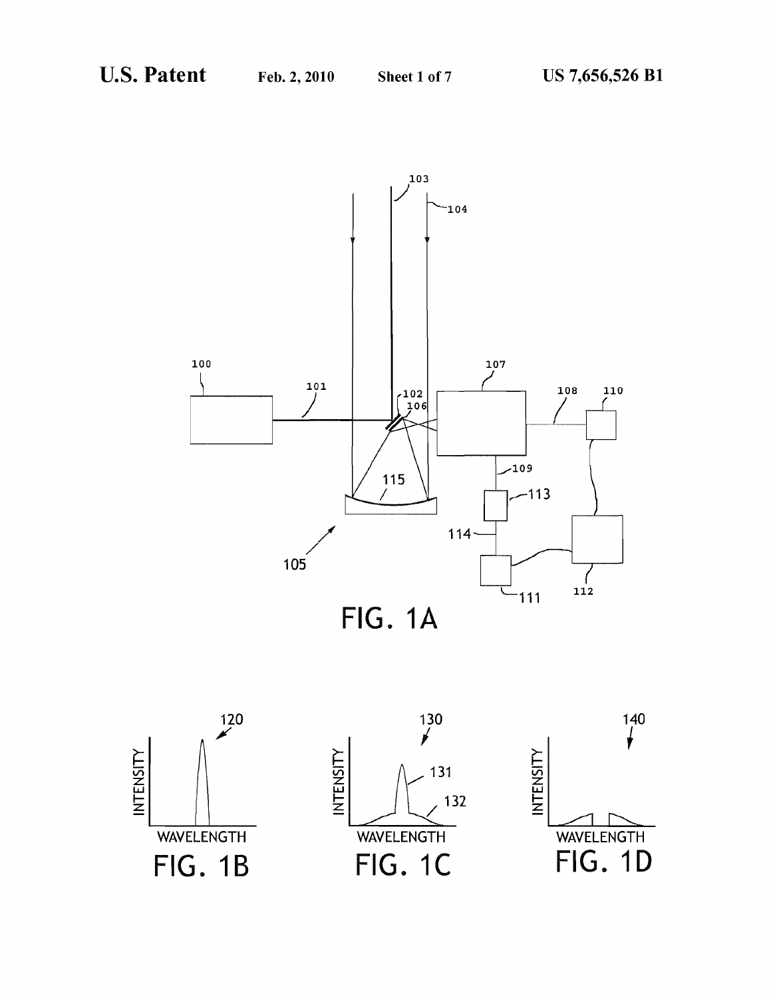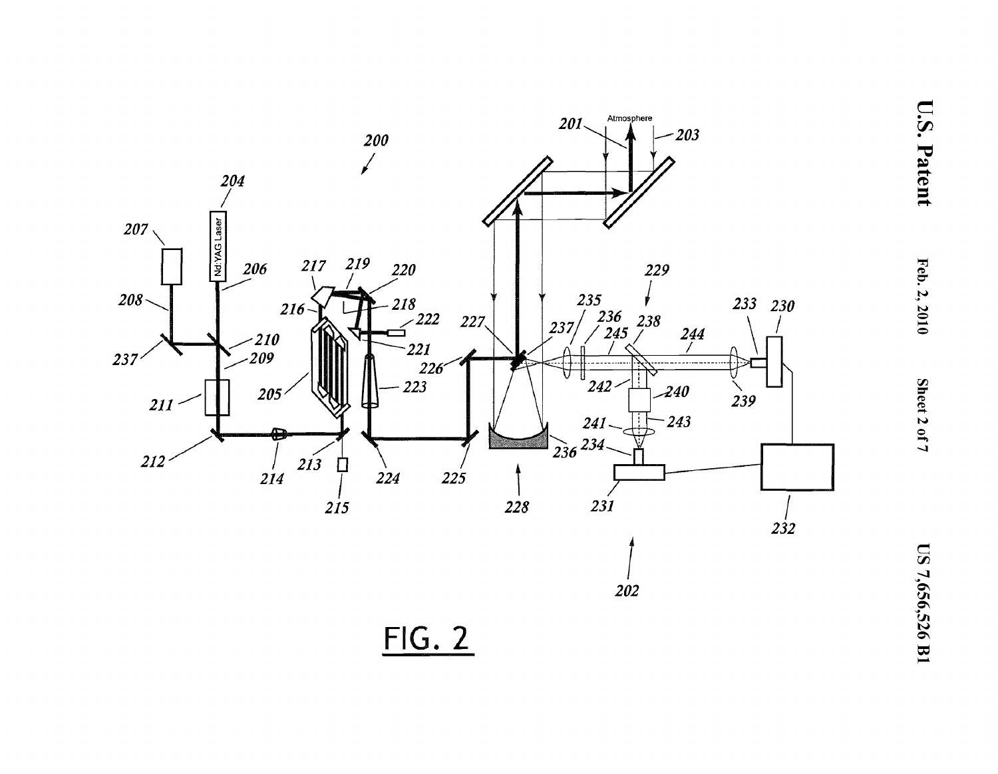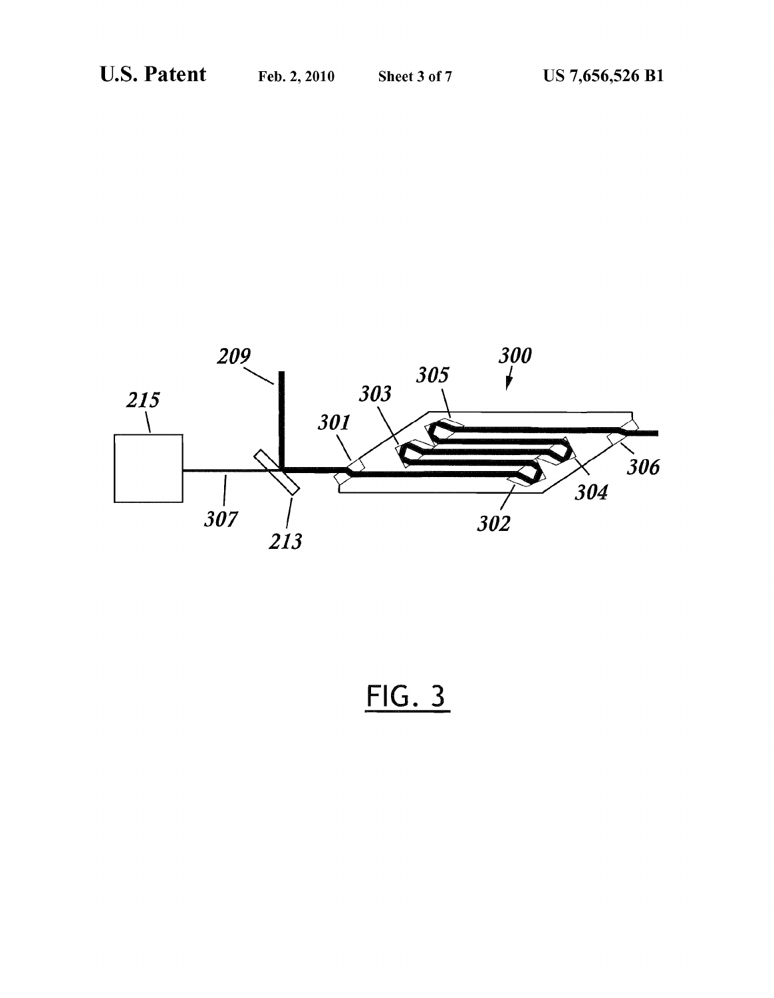

 $FIG. 3$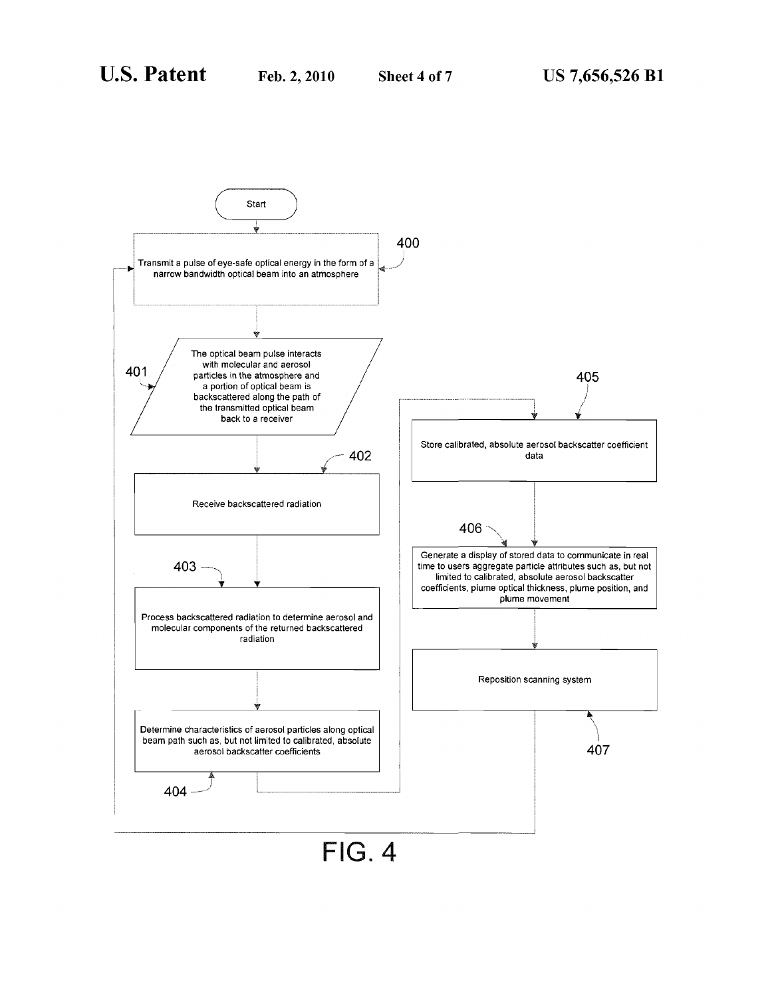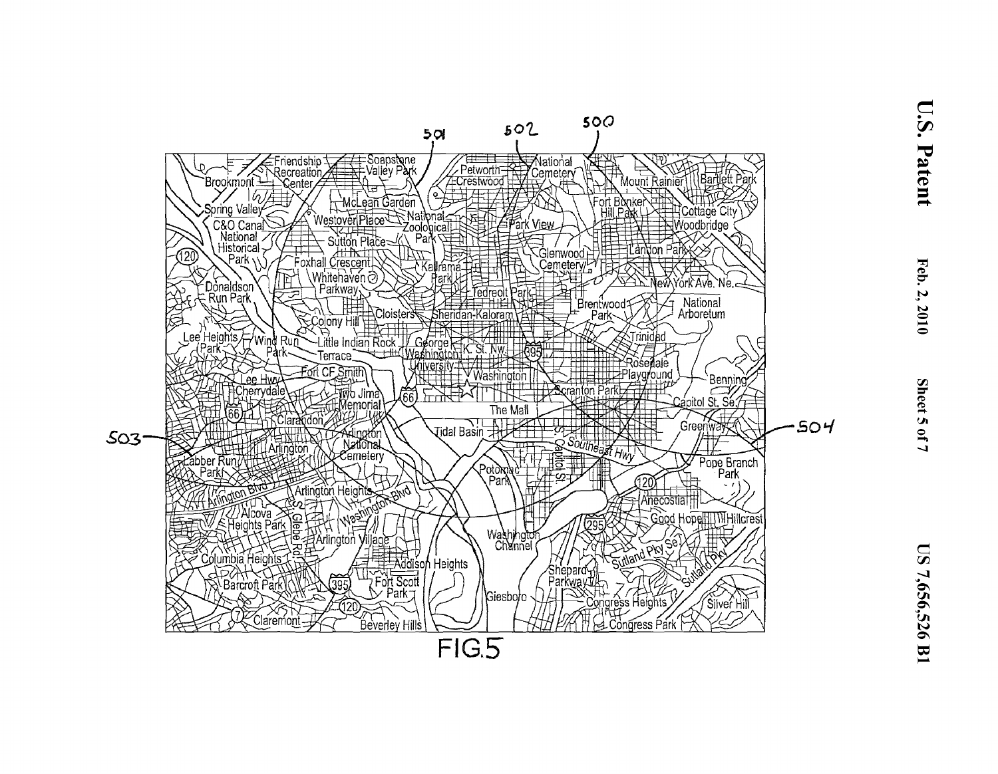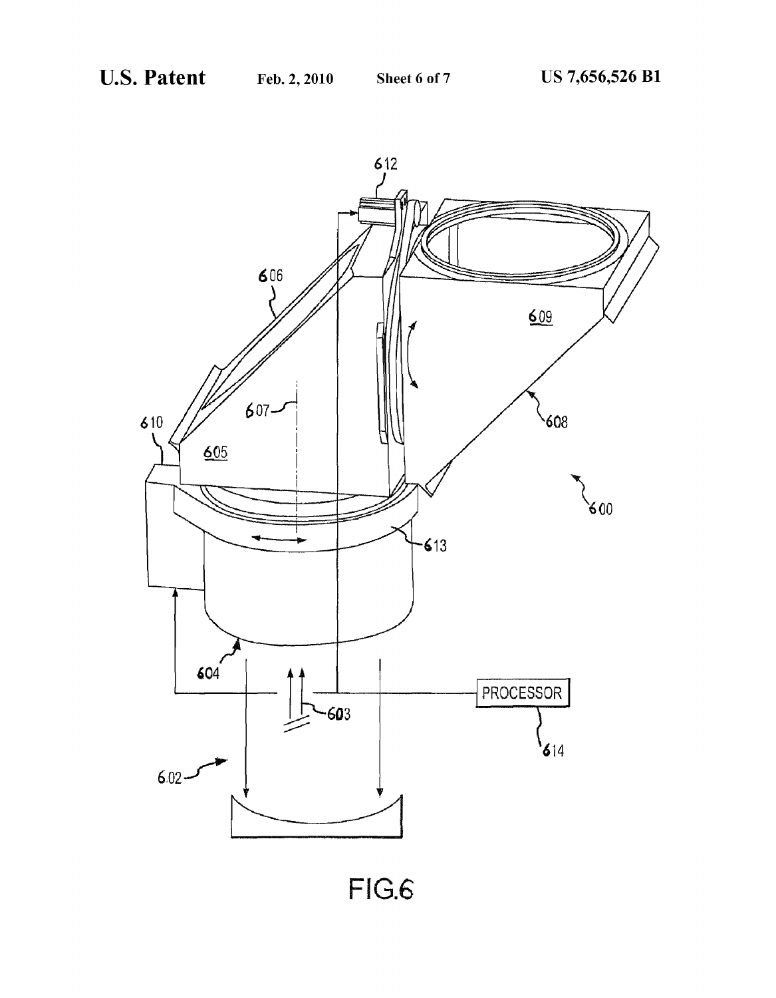

FIG.6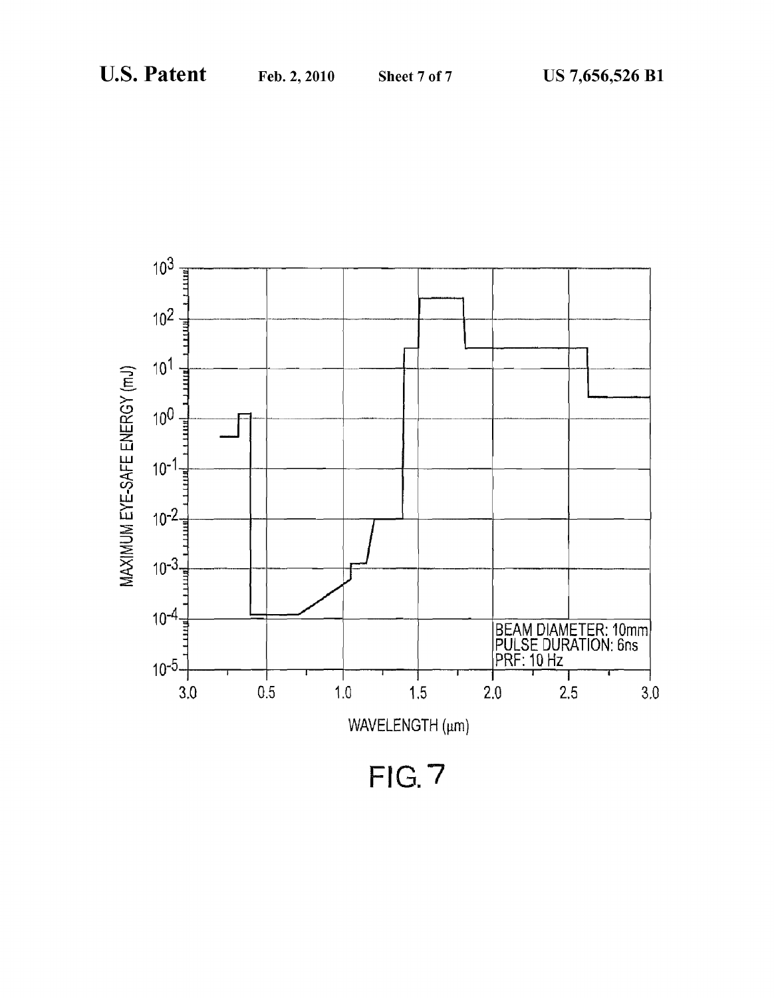

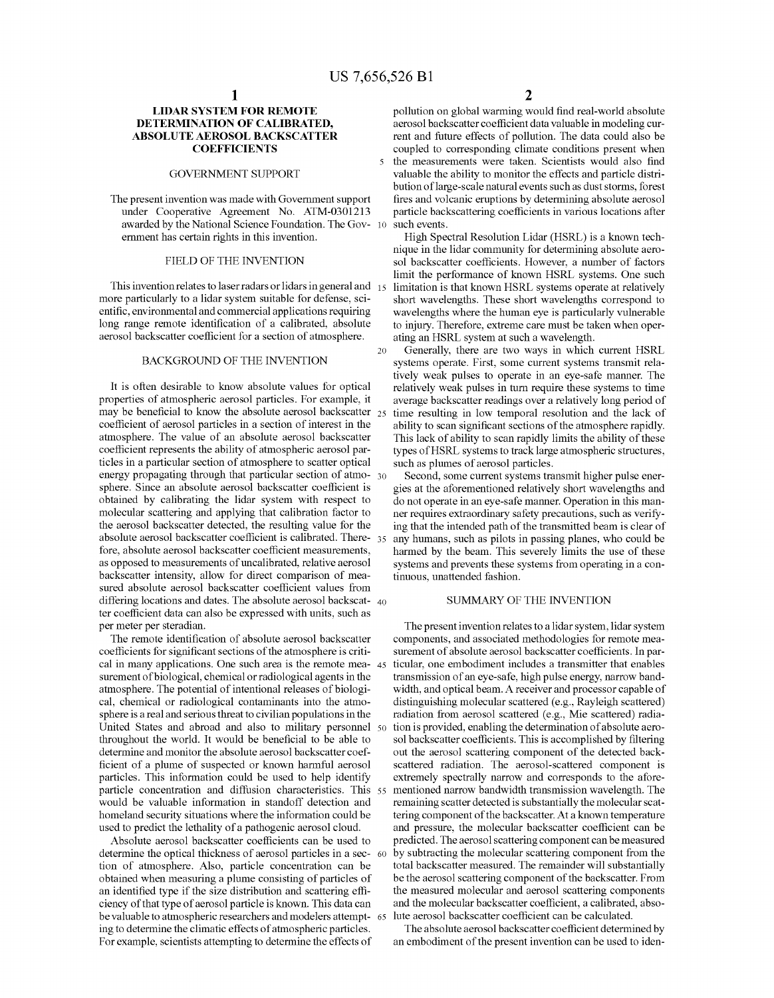### **LIDAR SYSTEM FOR REMOTE DETERMINATION OF CALIBRATED, ABSOLUTE AEROSOL BACKSCATTER COEFFICIENTS**

#### GOVERNMENT SUPPORT

The present invention was made with Govermnent support under Cooperative Agreement No. ATM-0301213 awarded by the National Science Foundation. The Govermnent has certain rights in this invention.

#### FIELD OF THE INVENTION

This invention relates to laser radars or lidars in general and 15 more particularly to a lidar system suitable for defense, scientific, environmental and commercial applications requiring long range remote identification of a calibrated, absolute aerosol backscatter coefficient for a section of atmosphere.

#### BACKGROUND OF THE INVENTION

It is often desirable to know absolute values for optical properties of atmospheric aerosol particles. For example, it may be beneficial to know the absolute aerosol backscatter  $_{25}$ coefficient of aerosol particles in a section of interest in the atmosphere. The value of an absolute aerosol backscatter coefficient represents the ability of atmospheric aerosol particles in a particular section of atmosphere to scatter optical energy propagating through that particular section of atmo- 30 sphere. Since an absolute aerosol backscatter coefficient is obtained by calibrating the lidar system with respect to molecular scattering and applying that calibration factor to the aerosol backscatter detected, the resulting value for the absolute aerosol backscatter coefficient is calibrated. There- 35 fore, absolute aerosol backscatter coefficient measurements, as opposed to measurements of uncalibrated, relative aerosol backscatter intensity, allow for direct comparison of measured absolute aerosol backscatter coefficient values from differing locations and dates. The absolute aerosol backscat- 40 ter coefficient data can also be expressed with units, such as per meter per steradian.

The remote identification of absolute aerosol backscatter coefficients for significant sections of the atmosphere is critical in many applications. One such area is the remote measurement of biological, chemical or radiological agents in the atmosphere. The potential of intentional releases of biological, chemical or radiological contaminants into the atmosphere is a real and serious threat to civilian populations in the United States and abroad and also to military personnel 50 throughout the world. It would be beneficial to be able to determine and monitor the absolute aerosol backscatter coefficient of a plume of suspected or known harmful aerosol particles. This information could be used to help identify particle concentration and diffusion characteristics. This 55 would be valuable information in standoff detection and homeland security situations where the information could be used to predict the lethality of a pathogenic aerosol cloud.

Absolute aerosol backscatter coefficients can be used to determine the optical thickness of aerosol particles in a sec- 60 tion of atmosphere. Also, particle concentration can be obtained when measuring a plume consisting of particles of an identified type if the size distribution and scattering efficiency of that type of aerosol particle is known. This data can be valuable to atmospheric researchers and modelers attempting to determine the climatic effects of atmospheric particles. For example, scientists attempting to determine the effects of

**2** 

pollution on global warming would find real-world absolute aerosol backscatter coefficient data valuable in modeling current and future effects of pollution. The data could also be coupled to corresponding climate conditions present when 5 the measurements were taken. Scientists would also find valuable the ability to monitor the effects and particle distribution of large-scale natural events such as dust storms, forest fires and volcanic eruptions by determining absolute aerosol particle backscattering coefficients in various locations after such events.

High Spectral Resolution Lidar (HSRL) is a known technique in the lidar community for determining absolute aerosol backscatter coefficients. However, a number of factors limit the performance of known HSRL systems. One such limitation is that known HSRL systems operate at relatively short wavelengths. These short wavelengths correspond to wavelengths where the human eye is particularly vulnerable to injury. Therefore, extreme care must be taken when operating an HSRL system at such a wavelength.

20 Generally, there are two ways in which current HSRL systems operate. First, some current systems transmit relatively weak pulses to operate in an eye-safe manner. The relatively weak pulses in tum require these systems to time average backscatter readings over a relatively long period of time resulting in low temporal resolution and the lack of ability to scan significant sections of the atmosphere rapidly. This lack of ability to scan rapidly limits the ability of these types of HSRL systems to track large atmospheric structures, such as plumes of aerosol particles.

Second, some current systems transmit higher pulse energies at the aforementioned relatively short wavelengths and do not operate in an eye-safe manner. Operation in this manner requires extraordinary safety precautions, such as verifying that the intended path of the transmitted beam is clear of any humans, such as pilots in passing planes, who could be harmed by the beam. This severely limits the use of these systems and prevents these systems from operating in a continuous, unattended fashion.

#### SUMMARY OF THE INVENTION

The present invention relates to a lidar system, lidar system components, and associated methodologies for remote measurement of absolute aerosol backscatter coefficients. In particular, one embodiment includes a transmitter that enables transmission of an eye-safe, high pulse energy, narrow bandwidth, and optical beam. A receiver and processor capable of distinguishing molecular scattered (e.g., Rayleigh scattered) radiation from aerosol scattered (e.g., Mie scattered) radiation is provided, enabling the determination of absolute aerosol backscatter coefficients. This is accomplished by filtering out the aerosol scattering component of the detected backscattered radiation. The aerosol-scattered component is extremely spectrally narrow and corresponds to the afore-55 mentioned narrow bandwidth transmission wavelength. The remaining scatter detected is substantially the molecular scattering component of the backscatter. At a known temperature and pressure, the molecular backscatter coefficient can be predicted. The aerosol scattering component can be measured by subtracting the molecular scattering component from the total backscatter measured. The remainder will substantially be the aerosol scattering component of the backscatter. From the measured molecular and aerosol scattering components and the molecular backscatter coefficient, a calibrated, abso-65 lute aerosol backscatter coefficient can be calculated.

The absolute aerosol backscatter coefficient determined by an embodiment of the present invention can be used to iden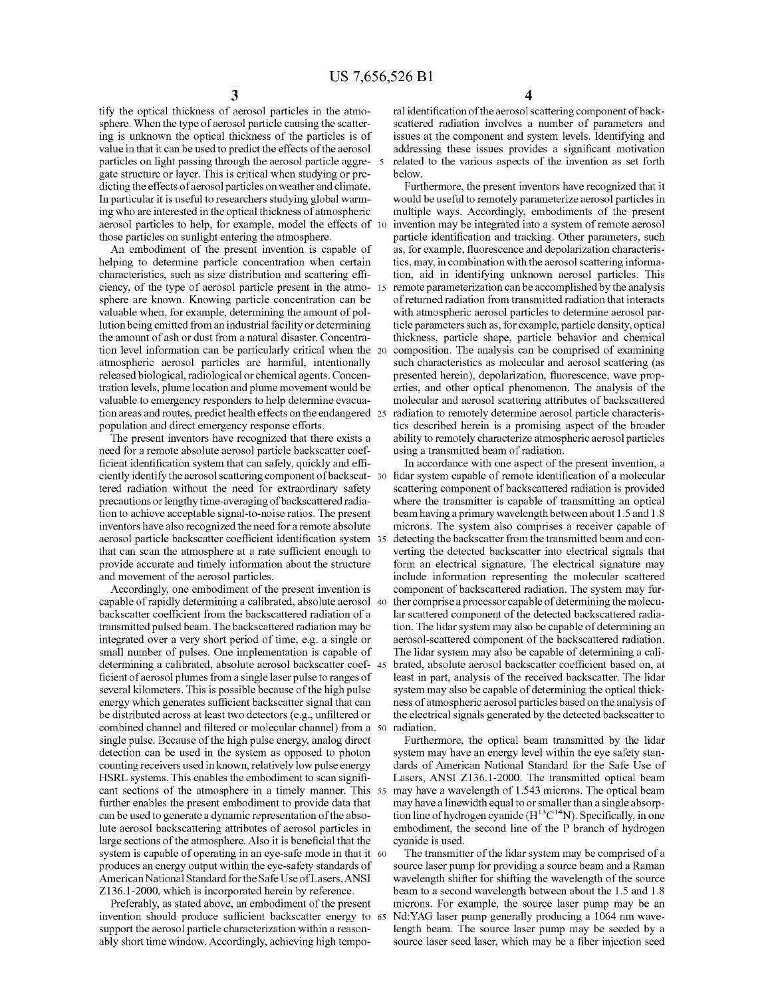tify the optical thickness of aerosol particles in the atmosphere. When the type of aerosol particle causing the scattering is unknown the optical thickness of the particles is of value in that it can be used to predict the effects of the aerosol particles on light passing through the aerosol particle aggre- 5 gate structure or layer. This is critical when studying or predicting the effects of aerosol particles on weather and climate. In particular it is useful to researchers studying global warming who are interested in the optical thickness of atmospheric aerosol particles to help, for example, model the effects of 10 those particles on sunlight entering the atmosphere.

An embodiment of the present invention is capable of helping to determine particle concentration when certain characteristics, such as size distribution and scattering efficiency, of the type of aerosol particle present in the atmo- <sup>15</sup> sphere are known. Knowing particle concentration can be valuable when, for example, determining the amount of pollution being emitted from an industrial facility or determining the amount of ash or dust from a natural disaster. Concentration level information can be particularly critical when the atmospheric aerosol particles are harmful, intentionally released biological, radiological or chemical agents. Concentration levels, plume location and plume movement would be valuable to emergency responders to help determine evacuation areas and routes, predict health effects on the endangered population and direct emergency response efforts.

The present inventors have recognized that there exists a need for a remote absolute aerosol particle backscatter coefficient identification system that can safely, quickly and efficiently identify the aerosol scattering component of backscat- 30 tered radiation without the need for extraordinary safety precautions or lengthy time-averaging of backscattered radiation to achieve acceptable signal-to-noise ratios. The present inventors have also recognized the need for a remote absolute aerosol particle backscatter coefficient identification system that can scan the atmosphere at a rate sufficient enough to provide accurate and timely information about the structure and movement of the aerosol particles.

Accordingly, one embodiment of the present invention is capable of rapidly determining a calibrated, absolute aerosol backscatter coefficient from the backscattered radiation of a transmitted pulsed beam. The backscattered radiation may be integrated over a very short period of time, e.g. a single or small number of pulses. One implementation is capable of determining a calibrated, absolute aerosol backscatter coef-45 ficient of aerosol plumes from a single laser pulse to ranges of several kilometers. This is possible because of the high pulse energy which generates sufficient backscatter signal that can be distributed across at least two detectors (e.g., unfiltered or the electrical signals generated by the detected backscatter to combined channel and filtered or molecular channel) from a single pulse. Because of the high pulse energy, analog direct detection can be used in the system as opposed to photon counting receivers used in known, relatively low pulse energy HSRL systems. This enables the embodiment to scan significant sections of the atmosphere in a timely manner. This 55 further enables the present embodiment to provide data that can be used to generate a dynamic representation of the absolute aerosol backscattering attributes of aerosol particles in large sections of the atmosphere. Also it is beneficial that the system is capable of operating in an eye-safe mode in that it 60 produces an energy output within the eye-safety standards of American National Standard for the Safe UseofLasers,ANSI Z136.1-2000, which is incorporated herein by reference.

invention should produce sufficient backscatter energy to 65 support the aerosol particle characterization within a reasonably short time window. Accordingly, achieving high tempo-

ral identification of the aerosol scattering component of backscattered radiation involves a number of parameters and issues at the component and system levels. Identifying and addressing these issues provides a significant motivation related to the various aspects of the invention as set forth below.

Furthermore, the present inventors have recognized that it would be useful to remotely parameterize aerosol particles in multiple ways. Accordingly, embodiments of the present invention may be integrated into a system of remote aerosol particle identification and tracking. Other parameters, such as, for example, fluorescence and depolarization characteristics, may, in combination with the aerosol scattering information, aid in identifying unknown aerosol particles. This remote parameterization can be accomplished by the analysis of returned radiation from transmitted radiation that interacts with atmospheric aerosol particles to determine aerosol particle parameters such as, for example, particle density, optical thickness, particle shape, particle behavior and chemical composition. The analysis can be comprised of examining such characteristics as molecular and aerosol scattering (as presented herein), depolarization, fluorescence, wave properties, and other optical phenomenon. The analysis of the molecular and aerosol scattering attributes of backscattered radiation to remotely determine aerosol particle characteristics described herein is a promising aspect of the broader ability to remotely characterize atmospheric aerosol particles using a transmitted beam of radiation.

In accordance with one aspect of the present invention, a lidar system capable of remote identification of a molecular scattering component of backscattered radiation is provided where the transmitter is capable of transmitting an optical beam having a primary wavelength between about 1.5 and 1.8 microns. The system also comprises a receiver capable of detecting the backscatter from the transmitted beam and converting the detected backscatter into electrical signals that form an electrical signature. The electrical signature may include information representing the molecular scattered component of backscattered radiation. The system may further comprise a processor capable of determining the molecular scattered component of the detected backscattered radiation. The lidar system may also be capable of determining an aerosol-scattered component of the backscattered radiation. The lidar system may also be capable of determining a cali-45 brated, absolute aerosol backscatter coefficient based on, at least in part, analysis of the received backscatter. The lidar system may also be capable of determining the optical thickness of atmospheric aerosol particles based on the analysis of radiation.

Furthermore, the optical beam transmitted by the lidar system may have an energy level within the eye safety standards of American National Standard for the Safe Use of Lasers, ANSI Z136.1-2000. The transmitted optical beam may have a wavelength of 1.543 microns. The optical beam may have a linewidth equal to or smaller than a single absorption line of hydrogen cyanide  $(H^{13}C^{14}N)$ . Specifically, in one embodiment, the second line of the P branch of hydrogen cyanide is used.

The transmitter of the lidar system may be comprised of a source laser pump for providing a source beam and a Raman wavelength shifter for shifting the wavelength of the source beam to a second wavelength between about the 1.5 and 1.8 Preferably, as stated above, an embodiment of the present microns. For example, the source laser pump may be an Nd:YAG laser pump generally producing a 1064 nm wavelength beam. The source laser pump may be seeded by a source laser seed laser, which may be a fiber injection seed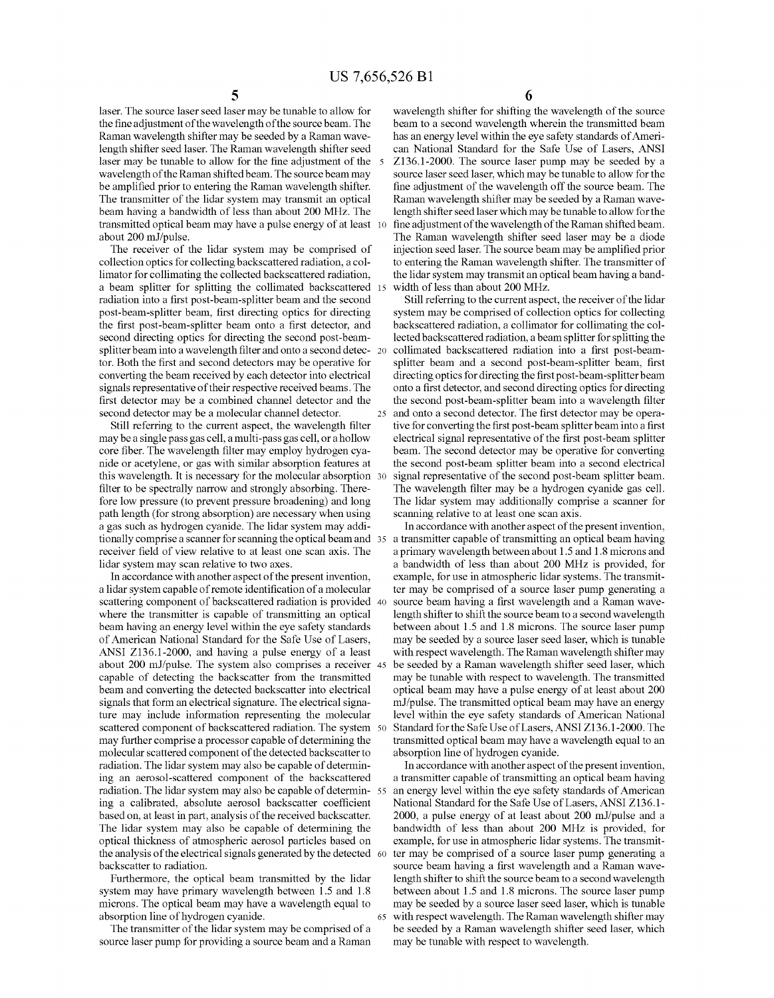laser. The source laser seed laser may be tunable to allow for the fine adjustment of the wavelength of the source beam. The Raman wavelength shifter may be seeded by a Raman wavelength shifter seed laser. The Raman wavelength shifter seed laser may be tunable to allow for the fine adjustment of the 5 wavelength of the Raman shifted beam. The source beam may be amplified prior to entering the Raman wavelength shifter. The transmitter of the lidar system may transmit an optical beam having a bandwidth of less than about 200 MHz. The transmitted optical beam may have a pulse energy of at least 10 about 200 ml/pulse.

The receiver of the lidar system may be comprised of collection optics for collecting backscattered radiation, a collimator for collimating the collected backscattered radiation, a beam splitter for splitting the collimated backscattered 15 radiation into a first post-beam-splitter beam and the second post-beam-splitter beam, first directing optics for directing the first post-beam-splitter beam onto a first detector, and second directing optics for directing the second post-beamsplitter beam into a wavelength filter and onto a second detec- 20 tor. Both the first and second detectors may be operative for converting the beam received by each detector into electrical signals representative of their respective received beams. The first detector may be a combined channel detector and the second detector may be a molecular channel detector.

Still referring to the current aspect, the wavelength filter may be a single pass gas cell, a multi-pass gas cell, or a hollow core fiber. The wavelength filter may employ hydrogen cyanide or acetylene, or gas with similar absorption features at this wavelength. It is necessary for the molecular absorption 30 filter to be spectrally narrow and strongly absorbing. Therefore low pressure (to prevent pressure broadening) and long path length (for strong absorption) are necessary when using a gas such as hydrogen cyanide. The lidar system may additionally comprise a scanner for scanning the optical beam and 35 receiver field of view relative to at least one scan axis. The lidar system may scan relative to two axes.

In accordance with another aspect of the present invention, a lidar system capable of remote identification of a molecular scattering component of backscattered radiation is provided 40 where the transmitter is capable of transmitting an optical beam having an energy level within the eye safety standards of American National Standard for the Safe Use of Lasers, ANSI Z136.1-2000, and having a pulse energy of a least about 200 ml/pulse. The system also comprises a receiver capable of detecting the backscatter from the transmitted beam and converting the detected backscatter into electrical signals that form an electrical signature. The electrical signature may include information representing the molecular scattered component of backscattered radiation. The system 50 may further comprise a processor capable of determining the molecular scattered component of the detected backscatter to radiation. The lidar system may also be capable of determining an aerosol-scattered component of the backscattered radiation. The lidar system may also be capable of determining a calibrated, absolute aerosol backscatter coefficient based on, at least in part, analysis of the received backscatter. The lidar system may also be capable of determining the optical thickness of atmospheric aerosol particles based on the analysis of the electrical signals generated by the detected 60 backscatter to radiation.

Furthermore, the optical beam transmitted by the lidar system may have primary wavelength between 1.5 and 1.8 microns. The optical beam may have a wavelength equal to absorption line of hydrogen cyanide.

The transmitter of the lidar system may be comprised of a source laser pump for providing a source beam and a Raman 6

wavelength shifter for shifting the wavelength of the source beam to a second wavelength wherein the transmitted beam has an energy level within the eye safety standards of American National Standard for the Safe Use of Lasers, ANSI Z136.1-2000. The source laser pump may be seeded by a source laser seed laser, which may be tunable to allow for the fine adjustment of the wavelength off the source beam. The Raman wavelength shifter may be seeded by a Raman wavelength shifter seed laser which may be tunable to allow for the fine adjustment of the wavelength of the Raman shifted beam. The Raman wavelength shifter seed laser may be a diode injection seed laser. The source beam may be amplified prior to entering the Raman wavelength shifter. The transmitter of the lidar system may transmit an optical beam having a bandwidth of less than about 200 MHz.

Still referring to the current aspect, the receiver of the lidar system may be comprised of collection optics for collecting backscattered radiation, a collimator for collimating the collected backscattered radiation, a beam splitter for splitting the collimated backscattered radiation into a first post-beamsplitter beam and a second post-beam-splitter beam, first directing optics for directing the first post-beam-splitter beam onto a first detector, and second directing optics for directing the second post-beam-splitter beam into a wavelength filter 25 and onto a second detector. The first detector may be operative for converting the first post-beam splitter beam into a first electrical signal representative of the first post-beam splitter beam. The second detector may be operative for converting the second post-beam splitter beam into a second electrical signal representative of the second post-beam splitter beam. The wavelength filter may be a hydrogen cyanide gas cell. The lidar system may additionally comprise a scanner for scanning relative to at least one scan axis.

In accordance with another aspect of the present invention, a transmitter capable of transmitting an optical beam having a primary wavelength between about 1.5 and 1.8 microns and a bandwidth of less than about 200 MHz is provided, for example, for use in atmospheric lidar systems. The transmitter may be comprised of a source laser pump generating a source beam having a first wavelength and a Raman wavelength shifter to shift the source beam to a second wavelength between about 1.5 and 1.8 microns. The source laser pump may be seeded by a source laser seed laser, which is tunable with respect wavelength. The Raman wavelength shifter may be seeded by a Raman wavelength shifter seed laser, which may be tunable with respect to wavelength. The transmitted optical beam may have a pulse energy of at least about 200 ml/pulse. The transmitted optical beam may have an energy level within the eye safety standards of American National Standard for the Safe Use of Lasers, ANSI Z136.1-2000. The transmitted optical beam may have a wavelength equal to an absorption line of hydrogen cyanide.

In accordance with another aspect of the present invention, a transmitter capable of transmitting an optical beam having an energy level within the eye safety standards of American National Standard for the Safe Use of Lasers, ANSI Z136.1- 2000, a pulse energy of at least about 200 ml/pulse and a bandwidth of less than about 200 MHz is provided, for example, for use in atmospheric lidar systems. The transmitter may be comprised of a source laser pump generating a source beam having a first wavelength and a Raman wavelength shifter to shift the source beam to a second wavelength between about 1.5 and 1.8 microns. The source laser pump may be seeded by a source laser seed laser, which is tunable 65 with respect wavelength. The Raman wavelength shifter may be seeded by a Raman wavelength shifter seed laser, which may be tunable with respect to wavelength.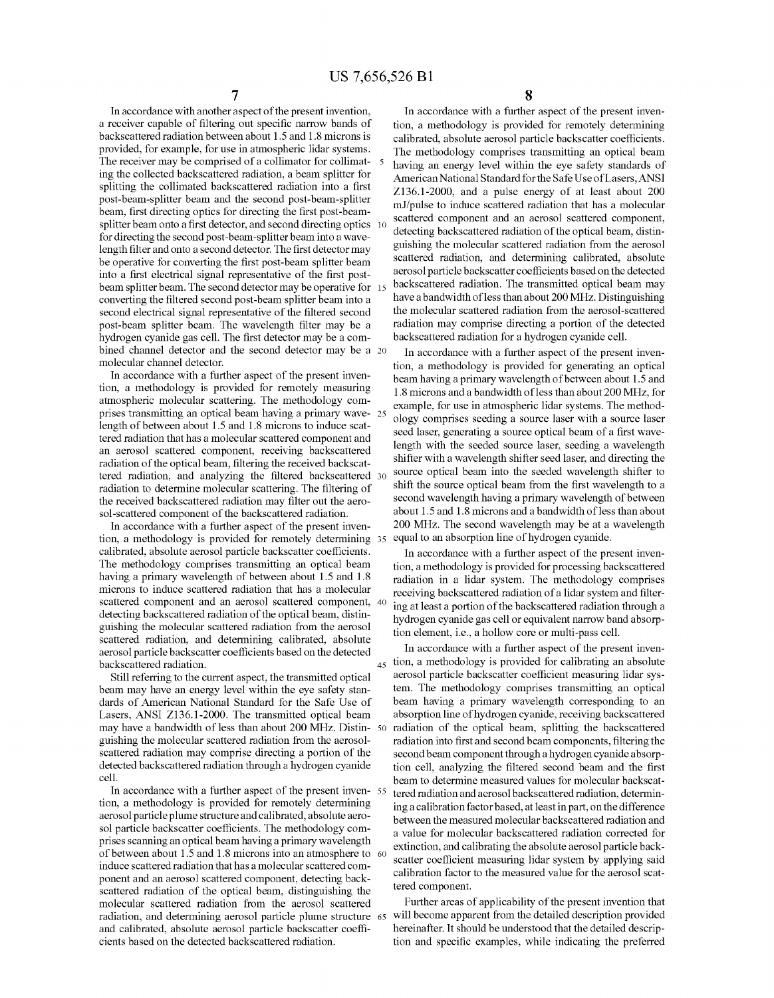In accordance with another aspect of the present invention, a receiver capable of filtering out specific narrow bands of backscattered radiation between about 1.5 and 1.8 microns is provided, for example, for use in atmospheric lidar systems. The receiver may be comprised of a collimator for collimat- 5 ing the collected backscattered radiation, a beam splitter for splitting the collimated backscattered radiation into a first post-beam-splitter beam and the second post-beam-splitter beam, first directing optics for directing the first post-beamsplitter beam onto a first detector, and second directing optics 10 for directing the second post-beam-splitter beam into a wavelength filter and onto a second detector. The first detector may be operative for converting the first post-beam splitter beam into a first electrical signal representative of the first postbeam splitter beam. The second detector may be operative for 1: converting the filtered second post-beam splitter beam into a second electrical signal representative of the filtered second post-beam splitter beam. The wavelength filter may be a hydrogen cyanide gas cell. The first detector may be a combined channel detector and the second detector may be a 20 molecular channel detector.

In accordance with a further aspect of the present invention, a methodology is provided for remotely measuring atmospheric molecular scattering. The methodology comprises transmitting an optical beam having a primary wavelength of between about 1.5 and 1.8 microns to induce scattered radiation that has a molecular scattered component and an aerosol scattered component, receiving backscattered radiation of the optical beam, filtering the received backscattered radiation, and analyzing the filtered backscattered radiation to determine molecular scattering. The filtering of the received backscattered radiation may filter out the aerosol-scattered component of the backscattered radiation.

In accordance with a further aspect of the present invention, a methodology is provided for remotely determining calibrated, absolute aerosol particle backscatter coefficients. The methodology comprises transmitting an optical beam having a primary wavelength of between about 1.5 and 1.8 microns to induce scattered radiation that has a molecular scattered component and an aerosol scattered component, 40 detecting backscattered radiation of the optical beam, distinguishing the molecular scattered radiation from the aerosol scattered radiation, and determining calibrated, absolute aerosol particle backscatter coefficients based on the detected backscattered radiation.

Still referring to the current aspect, the transmitted optical beam may have an energy level within the eye safety standards of American National Standard for the Safe Use of Lasers, ANSI Z136.1-2000. The transmitted optical beam may have a bandwidth of less than about 200 MHz. Distinguishing the molecular scattered radiation from the aerosolscattered radiation may comprise directing a portion of the detected backscattered radiation through a hydrogen cyanide cell.

In accordance with a further aspect of the present inven- <sup>55</sup> tion, a methodology is provided for remotely determining aerosol particle plume structure and calibrated, absolute aerosol particle backscatter coefficients. The methodology com-<br>a value for molecular backscattered radiation corrected for prises scanning an optical beam having a primary wavelength of between about 1.5 and 1.8 microns into an atmosphere to 60 induce scattered radiation that has a molecular scattered component and an aerosol scattered component, detecting backscattered radiation of the optical beam, distinguishing the molecular scattered radiation from the aerosol scattered radiation, and determining aerosol particle plume structure 65 and calibrated, absolute aerosol particle backscatter coefficients based on the detected backscattered radiation.

**8** 

In accordance with a further aspect of the present invention, a methodology is provided for remotely determining calibrated, absolute aerosol particle backscatter coefficients. The methodology comprises transmitting an optical beam having an energy level within the eye safety standards of American National Standard for the Safe UseofLasers,ANSI Z136.1-2000, and a pulse energy of at least about 200 ml/pulse to induce scattered radiation that has a molecular scattered component and an aerosol scattered component, detecting backscattered radiation of the optical beam, distinguishing the molecular scattered radiation from the aerosol scattered radiation, and determining calibrated, absolute aerosol particle backscatter coefficients based on the detected backscattered radiation. The transmitted optical beam may have a bandwidth of less than about 200 MHz. Distinguishing the molecular scattered radiation from the aerosol-scattered radiation may comprise directing a portion of the detected backscattered radiation for a hydrogen cyanide cell.

In accordance with a further aspect of the present invention, a methodology is provided for generating an optical beam having a primary wavelength of between about 1.5 and 1.8 microns and a bandwidth ofless than about 200 MHz, for example, for use in atmospheric lidar systems. The method-25 ology comprises seeding a source laser with a source laser seed laser, generating a source optical beam of a first wavelength with the seeded source laser, seeding a wavelength shifter with a wavelength shifter seed laser, and directing the source optical beam into the seeded wavelength shifter to shift the source optical beam from the first wavelength to a second wavelength having a primary wavelength of between about 1.5 and 1.8 microns and a bandwidth of less than about 200 MHz. The second wavelength may be at a wavelength equal to an absorption line of hydrogen cyanide.

In accordance with a further aspect of the present invention, a methodology is provided for processing backscattered radiation in a lidar system. The methodology comprises receiving backscattered radiation of a lidar system and filtering at least a portion of the backscattered radiation through a hydrogen cyanide gas cell or equivalent narrow band absorption element, i.e., a hollow core or multi-pass cell.

In accordance with a further aspect of the present inven-45 tion, a methodology is provided for calibrating an absolute aerosol particle backscatter coefficient measuring lidar system. The methodology comprises transmitting an optical beam having a primary wavelength corresponding to an absorption line of hydrogen cyanide, receiving backscattered radiation of the optical beam, splitting the backscattered radiation into first and second beam components, filtering the second beam component through a hydrogen cyanide absorption cell, analyzing the filtered second beam and the first beam to determine measured values for molecular backscattered radiation and aerosol backscattered radiation, determining a calibration factor based, at least in part, on the difference between the measured molecular backscattered radiation and extinction, and calibrating the absolute aerosol particle backscatter coefficient measuring lidar system by applying said calibration factor to the measured value for the aerosol scattered component.

Further areas of applicability of the present invention that will become apparent from the detailed description provided hereinafter. It should be understood that the detailed description and specific examples, while indicating the preferred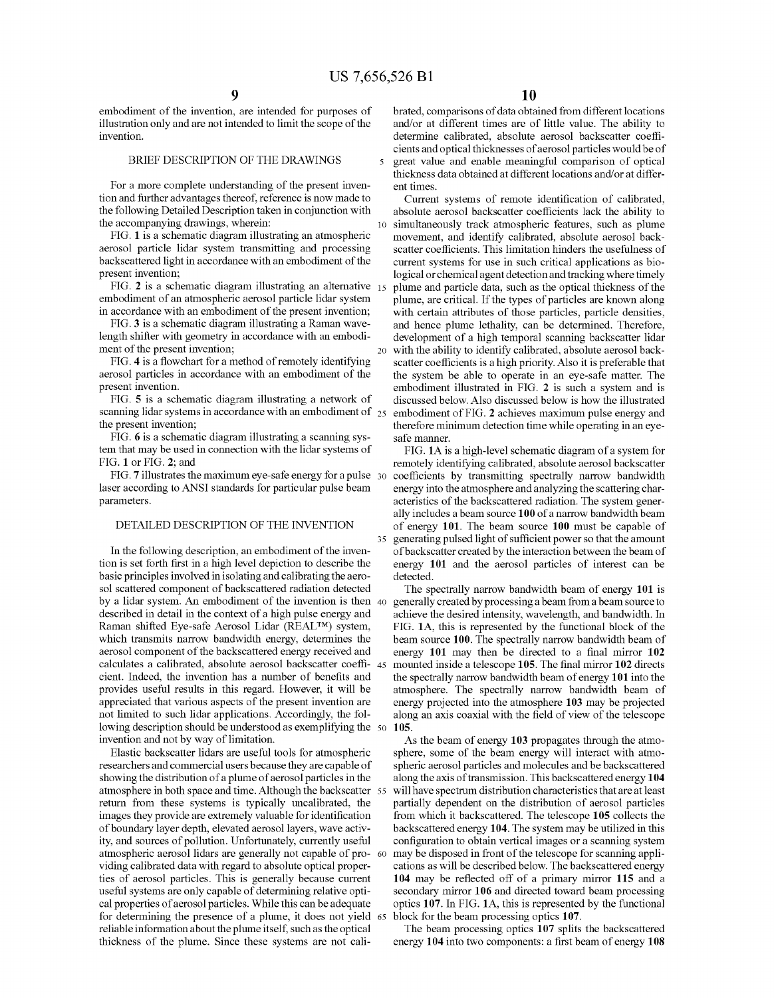embodiment of the invention, are intended for purposes of illustration only and are not intended to limit the scope of the invention.

#### BRIEF DESCRIPTION OF THE DRAWINGS

For a more complete understanding of the present invention and further advantages thereof, reference is now made to the following Detailed Description taken in conjunction with the accompanying drawings, wherein:

FIG. **1** is a schematic diagram illustrating an atmospheric aerosol particle lidar system transmitting and processing backscattered light in accordance with an embodiment of the present invention;

FIG. **2** is a schematic diagram illustrating an alternative embodiment of an atmospheric aerosol particle lidar system in accordance with an embodiment of the present invention;

FIG. **3** is a schematic diagram illustrating a Raman wavelength shifter with geometry in accordance with an embodiment of the present invention;

FIG. 4 is a flowchart for a method of remotely identifying aerosol particles in accordance with an embodiment of the present invention.

FIG. **5** is a schematic diagram illustrating a network of scanning lidar systems in accordance with an embodiment of  $_{25}$ the present invention;

FIG. **6** is a schematic diagram illustrating a scanning system that may be used in connection with the lidar systems of FIG. **1** or FIG. **2;** and

FIG. **7** illustrates the maximum eye-safe energy for a pulse 30 laser according to ANSI standards for particular pulse beam parameters.

#### DETAILED DESCRIPTION OF THE INVENTION

In the following description, an embodiment of the invention is set forth first in a high level depiction to describe the basic principles involved in isolating and calibrating the aerosol scattered component of backscattered radiation detected by a lidar system. An embodiment of the invention is then 40 described in detail in the context of a high pulse energy and Raman shifted Eye-safe Aerosol Lidar (REAL™) system, which transmits narrow bandwidth energy, determines the aerosol component of the backscattered energy received and calculates a calibrated, absolute aerosol backscatter coeffi- 45 cient. Indeed, the invention has a number of benefits and provides useful results in this regard. However, it will be appreciated that various aspects of the present invention are not limited to such lidar applications. Accordingly, the following description should be understood as exemplifying the 50 invention and not by way of limitation.

Elastic backscatter lidars are useful tools for atmospheric researchers and commercial users because they are capable of showing the distribution of a plume of aerosol particles in the atmosphere in both space and time. Although the backscatter 55 return from these systems is typically uncalibrated, the images they provide are extremely valuable for identification of boundary layer depth, elevated aerosol layers, wave activity, and sources of pollution. Unfortunately, currently useful atmospheric aerosol lidars are generally not capable of pro- <sup>60</sup> viding calibrated data with regard to absolute optical properties of aerosol particles. This is generally because current useful systems are only capable of determining relative optical properties of aerosol particles. While this can be adequate for determining the presence of a plume, it does not yield 65 reliable information about the plume itself, such as the optical thickness of the plume. Since these systems are not cali-

brated, comparisons of data obtained from different locations and/or at different times are of little value. The ability to determine calibrated, absolute aerosol backscatter coefficients and optical thicknesses of aerosol particles would be of 5 great value and enable meaningful comparison of optical thickness data obtained at different locations and/or at different times.

Current systems of remote identification of calibrated, absolute aerosol backscatter coefficients lack the ability to simultaneously track atmospheric features, such as plume movement, and identify calibrated, absolute aerosol backscatter coefficients. This limitation hinders the usefulness of current systems for use in such critical applications as biological or chemical agent detection and tracking where timely plume and particle data, such as the optical thickness of the plume, are critical. If the types of particles are known along with certain attributes of those particles, particle densities, and hence plume lethality, can be determined. Therefore, development of a high temporal scanning backscatter lidar 20 with the ability to identify calibrated, absolute aerosol backscatter coefficients is a high priority. Also it is preferable that the system be able to operate in an eye-safe matter. The embodiment illustrated in FIG. **2** is such a system and is discussed below. Also discussed below is how the illustrated embodiment of FIG. **2** achieves maximum pulse energy and therefore minimum detection time while operating in an eyesafe manner.

FIG. **lA** is a high-level schematic diagram of a system for remotely identifying calibrated, absolute aerosol backscatter coefficients by transmitting spectrally narrow bandwidth energy into the atmosphere and analyzing the scattering characteristics of the backscattered radiation. The system generally includes a beam source **100** of a narrow bandwidth beam of energy **101.** The beam source **100** must be capable of generating pulsed light of sufficient power so that the amount of backscatter created by the interaction between the beam of energy **101** and the aerosol particles of interest can be detected.

The spectrally narrow bandwidth beam of energy **101** is generally created by processing a beam from a beam source to achieve the desired intensity, wavelength, and bandwidth. In FIG. **lA,** this is represented by the functional block of the beam source **100.** The spectrally narrow bandwidth beam of energy **101** may then be directed to a final mirror **102**  mounted inside a telescope **105.** The final mirror **102** directs the spectrally narrow bandwidth beam of energy **101** into the atmosphere. The spectrally narrow bandwidth beam of energy projected into the atmosphere **103** may be projected along an axis coaxial with the field of view of the telescope **105.** 

As the beam of energy **103** propagates through the atmosphere, some of the beam energy will interact with atmospheric aerosol particles and molecules and be backscattered along the axis of transmission. This backscattered energy **104**  will have spectrum distribution characteristics that are at least partially dependent on the distribution of aerosol particles from which it backscattered. The telescope **105** collects the backscattered energy **104.** The system may be utilized in this configuration to obtain vertical images or a scanning system may be disposed in front of the telescope for scanning applications as will be described below. The backscattered energy **104** may be reflected off of a primary mirror **115** and a secondary mirror **106** and directed toward beam processing optics **107.** In FIG. **lA,** this is represented by the functional block for the beam processing optics **107.** 

The beam processing optics **107** splits the backscattered energy **104** into two components: a first beam of energy **108**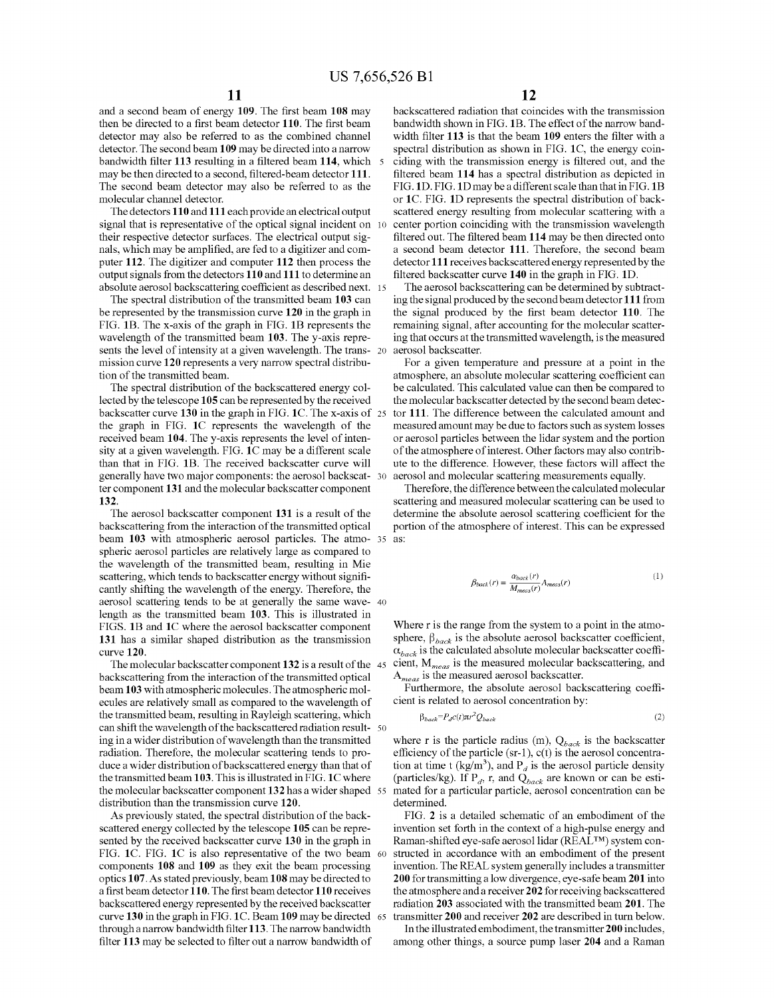and a second beam of energy **109.** The first beam **108** may then be directed to a first beam detector **110.** The first beam detector may also be referred to as the combined channel detector. The second beam **109** may be directed into a narrow bandwidth filter **113** resulting in a filtered beam **114,** which 5 may be then directed to a second, filtered-beam detector **111.**  The second beam detector may also be referred to as the molecular channel detector.

The detectors **110** and **111** each provide an electrical output signal that is representative of the optical signal incident on 10 their respective detector surfaces. The electrical output signals, which may be amplified, are fed to a digitizer and computer **112.** The digitizer and computer **112** then process the output signals from the detectors **110** and **111** to determine an absolute aerosol backscattering coefficient as described next. 15

The spectral distribution of the transmitted beam **103** can be represented by the transmission curve **120** in the graph in FIG. **1B.** The x-axis of the graph in FIG. **1B** represents the wavelength of the transmitted beam **103.** The y-axis represents the level of intensity at a given wavelength. The trans- <sup>20</sup> mission curve **120** represents a very narrow spectral distribution of the transmitted beam.

The spectral distribution of the backscattered energy collected by the telescope **105** can be represented by the received backscatter curve **130** in the graph in FIG. **lC.** The x-axis of the graph in FIG. **lC** represents the wavelength of the received beam **104.** The y-axis represents the level of intensity at a given wavelength. FIG. **lC** may be a different scale than that in FIG. **1B.** The received backscatter curve will generally have two major components: the aerosol backseat- 30 ter component **131** and the molecular backscatter component **132.** 

beam 103 with atmospheric aerosol particles. The atmo- 35 as: The aerosol backscatter component **131** is a result of the backscattering from the interaction of the transmitted optical spheric aerosol particles are relatively large as compared to the wavelength of the transmitted beam, resulting in Mie scattering, which tends to backscatter energy without significantly shifting the wavelength of the energy. Therefore, the aerosol scattering tends to be at generally the same wave- 40 length as the transmitted beam **103.** This is illustrated in FIGS. **1B** and **lC** where the aerosol backscatter component **131** has a similar shaped distribution as the transmission curve **120.** 

The molecular backscatter component **132** is a result of the backscattering from the interaction of the transmitted optical beam **103** with atmospheric molecules. The atmospheric molecules are relatively small as compared to the wavelength of the transmitted beam, resulting in Rayleigh scattering, which can shift the wavelength of the backscattered radiation result- <sup>50</sup> ing in a wider distribution of wavelength than the transmitted radiation. Therefore, the molecular scattering tends to produce a wider distribution of backscattered energy than that of the transmitted beam **103.** This is illustrated inFIG. **lC** where the molecular backscatter component **132** has a wider shaped distribution than the transmission curve **120.** 

As previously stated, the spectral distribution of the backscattered energy collected by the telescope **105** can be represented by the received backscatter curve **130** in the graph in FIG. **lC.** FIG. **lC** is also representative of the two beam 60 components **108** and **109** as they exit the beam processing optics **107.** As stated previously, beam **108** may be directed to a first beam detector **110.** The first beam detector **110** receives backscattered energy represented by the received backscatter curve **130** in the graphinFIG. **lC.** Beam **109** maybe directed through a narrow bandwidth filter **113.** The narrow bandwidth filter **113** may be selected to filter out a narrow bandwidth of

backscattered radiation that coincides with the transmission bandwidth shown in FIG. **1B.** The effect of the narrow bandwidth filter **113** is that the beam **109** enters the filter with a spectral distribution as shown in FIG. **lC,** the energy coinciding with the transmission energy is filtered out, and the filtered beam **114** has a spectral distribution as depicted in FIG. **lD.** FIG. **lD** may be a different scale than that in FIG.1B or **lC.** FIG. **lD** represents the spectral distribution of backscattered energy resulting from molecular scattering with a center portion coinciding with the transmission wavelength filtered out. The filtered beam **114** may be then directed onto a second beam detector **111.** Therefore, the second beam detector **111** receives backscattered energy represented by the filtered backscatter curve **140** in the graph in FIG. **lD.** 

The aerosol backscattering can be determined by subtracting the signal produced by the second beam detector **111** from the signal produced by the first beam detector **110.** The remaining signal, after accounting for the molecular scattering that occurs at the transmitted wavelength, is the measured aerosol backscatter.

For a given temperature and pressure at a point in the atmosphere, an absolute molecular scattering coefficient can be calculated. This calculated value can then be compared to the molecular backscatter detected by the second beam detector 111. The difference between the calculated amount and measured amount may be due to factors such as system losses or aerosol particles between the lidar system and the portion of the atmosphere of interest. Other factors may also contribute to the difference. However, these factors will affect the aerosol and molecular scattering measurements equally.

Therefore, the difference between the calculated molecular scattering and measured molecular scattering can be used to determine the absolute aerosol scattering coefficient for the portion of the atmosphere of interest. This can be expressed

 $\overline{I}$ 

$$
\beta_{back}(r) = \frac{\alpha_{back}(r)}{M_{meas}(r)} A_{meas}(r) \tag{1}
$$

Where r is the range from the system to a point in the atmosphere,  $\beta_{back}$  is the absolute aerosol backscatter coefficient,  $\alpha_{back}$  is the calculated absolute molecular backscatter coefficient,  $M_{meas}$  is the measured molecular backscattering, and *Ameas* is the measured aerosol backscatter.

Furthermore, the absolute aerosol backscattering coefficient is related to aerosol concentration by:

$$
\beta_{back} = P_d c(t) \pi r^2 Q_{back} \tag{2}
$$

where r is the particle radius (m),  $Q_{back}$  is the backscatter efficiency of the particle (sr-1), c(t) is the aerosol concentration at time t (kg/m<sup>3</sup>), and  $P_d$  is the aerosol particle density (particles/kg). If  $P_d$ , r, and  $Q_{back}$  are known or can be estimated for a particular particle, aerosol concentration can be determined.

FIG. **2** is a detailed schematic of an embodiment of the invention set forth in the context of a high-pulse energy and Raman-shifted eye-safe aerosol lidar (REAL™) system constructed in accordance with an embodiment of the present invention. The REAL system generally includes a transmitter **200** for transmitting a low divergence, eye-safe beam **201** into the atmosphere and a receiver **202** for receiving backscattered radiation **203** associated with the transmitted beam **201.** The 65 transmitter **200** and receiver **202** are described in turn below.

In the illustrated embodiment, the transmitter **200** includes, among other things, a source pump laser **204** and a Raman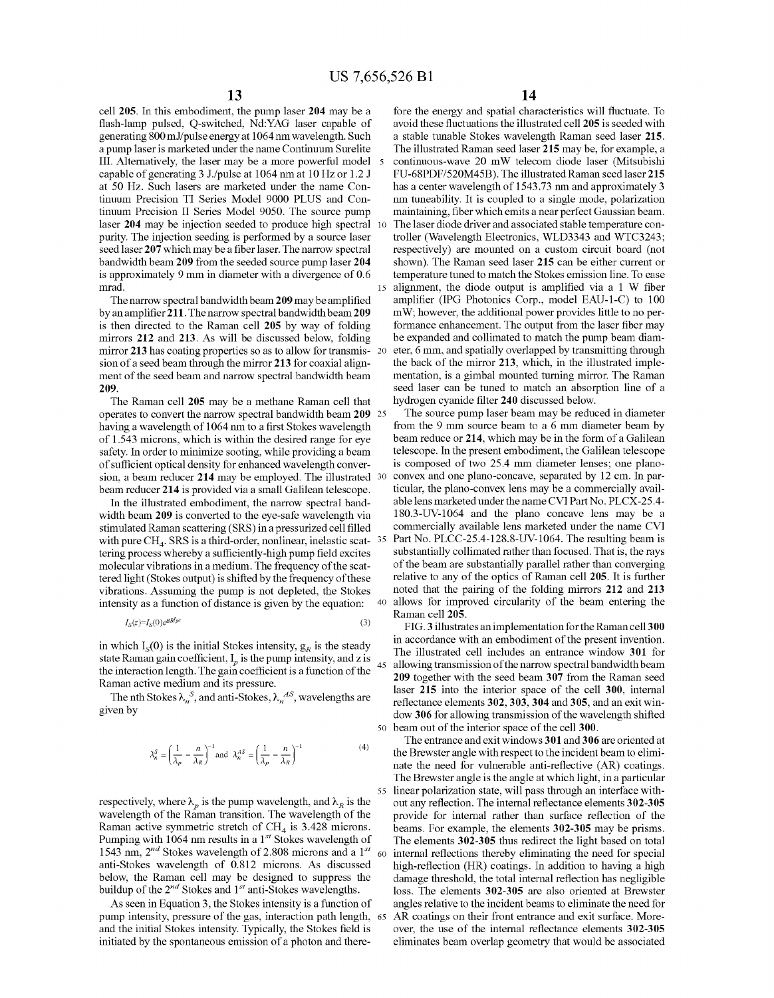cell **205.** In this embodiment, the pump laser **204** may be a flash-lamp pulsed, Q-switched, Nd:YAG laser capable of generating 800 ml/pulse energy at 1064 nm wavelength. Such a pump laser is marketed under the name Continuum Surelite III. Alternatively, the laser may be a more powerful model capable of generating 3 J./pulse at 1064 nm at 10 Hz or 1.2 J at 50 Hz. Such lasers are marketed under the name Continuum Precision TI Series Model 9000 PLUS and Continuum Precision II Series Model 9050. The source pump laser **204** may be injection seeded to produce high spectral purity. The injection seeding is performed by a source laser seed laser **207** which may be a fiber laser. The narrow spectral bandwidth beam **209** from the seeded source pump laser **204**  is approximately 9 mm in diameter with a divergence of 0.6 mrad.

The narrow spectral bandwidth beam **209** may be amplified by an amplifier **211.** The narrow spectral bandwidth beam **209**  is then directed to the Raman cell **205** by way of folding mirrors **212** and **213.** As will be discussed below, folding mirror **213** has coating properties so as to allow for transmission of a seed beam through the mirror **213** for coaxial alignment of the seed beam and narrow spectral bandwidth beam **209.** 

The Raman cell **205** may be a methane Raman cell that operates to convert the narrow spectral bandwidth beam **209** 25 having a wavelength of 1064 nm to a first Stokes wavelength of 1.543 microns, which is within the desired range for eye safety. In order to minimize sooting, while providing a beam of sufficient optical density for enhanced wavelength conversion, a beam reducer **214** may be employed. The illustrated beam reducer **214** is provided via a small Galilean telescope.

width beam **209** is converted to the eye-safe wavelength via stimulated Raman scattering (SRS) in a pressurized cell filled with pure  $CH_4$ . SRS is a third-order, nonlinear, inelastic scat-  $35$ tering process whereby a sufficiently-high pump field excites molecular vibrations in a medium. The frequency of the scattered light (Stokes output) is shifted by the frequency of these vibrations. Assuming the pump is not depleted, the Stokes intensity as a function of distance is given by the equation:

$$
I_S(z) = I_S(0)e^{gRI_Pz} \tag{3}
$$

in which  $I_S(0)$  is the initial Stokes intensity,  $g_R$  is the steady state Raman gain coefficient,  $I_p$  is the pump intensity, and z is the interaction length. The gain coefficient is a function of the  $45$ Raman active medium and its pressure.

The nth Stokes  $\lambda_n^S$ , and anti-Stokes,  $\lambda_n^A$ , wavelengths are given by

$$
\lambda_n^S = \left(\frac{1}{\lambda_p} - \frac{n}{\lambda_R}\right)^{-1} \text{and } \lambda_n^{AS} = \left(\frac{1}{\lambda_p} - \frac{n}{\lambda_R}\right)^{-1} \tag{4}
$$

respectively, where  $\lambda_n$  is the pump wavelength, and  $\lambda_R$  is the wavelength of the Raman transition. The wavelength of the Raman active symmetric stretch of  $CH<sub>4</sub>$  is 3.428 microns. Pumping with 1064 nm results in a 1<sup>st</sup> Stokes wavelength of 1543 nm,  $2^{nd}$  Stokes wavelength of 2.808 microns and a  $1^{st}$ anti-Stokes wavelength of 0.812 microns. As discussed below, the Raman cell may be designed to suppress the buildup of the 2<sup>nd</sup> Stokes and 1<sup>st</sup> anti-Stokes wavelengths.

As seen in Equation 3, the Stokes intensity is a function of pump intensity, pressure of the gas, interaction path length, 65 and the initial Stokes intensity. Typically, the Stokes field is initiated by the spontaneous emission of a photon and there-

fore the energy and spatial characteristics will fluctuate. To avoid these fluctuations the illustrated cell **205** is seeded with a stable tunable Stokes wavelength Raman seed laser **215.**  The illustrated Raman seed laser **215** may be, for example, a continuous-wave 20 mW telecom diode laser (Mitsubishi FU-68PDF/520M45B). The illustrated Raman seed laser 215 has a center wavelength of 1543.73 nm and approximately 3 nm tuneability. It is coupled to a single mode, polarization maintaining, fiber which emits a near perfect Gaussian beam. 10 The laser diode driver and associated stable temperature controller (Wavelength Electronics, WLD3343 and WTC3243; respectively) are mounted on a custom circuit board (not shown). The Raman seed laser **215** can be either current or temperature tuned to match the Stokes emission line. To ease alignment, the diode output is amplified via a  $1 \text{ W}$  fiber amplifier (IPG Photonics Corp., model EAU-1-C) to 100 mW; however, the additional power provides little to no performance enhancement. The output from the laser fiber may be expanded and collimated to match the pump beam diameter, 6 mm, and spatially overlapped by transmitting through the back of the mirror **213,** which, in the illustrated implementation, is a gimbal mounted turning mirror. The Raman seed laser can be tuned to match an absorption line of a hydrogen cyanide filter **240** discussed below.

The source pump laser beam may be reduced in diameter from the 9 mm source beam to a 6 mm diameter beam by beam reduce or **214,** which may be in the form of a Galilean telescope. In the present embodiment, the Galilean telescope is composed of two 25.4 mm diameter lenses; one planoconvex and one plano-concave, separated by 12 cm. In particular, the piano-convex lens may be a commercially available lens marketed under the name CVI Part No. PLCX-25.4- In the illustrated embodiment, the narrow spectral band-<br>dth beam 209 is converted to the eve-safe wavelength via 180.3-UV-1064 and the plano concave lens may be a commercially available lens marketed under the name CVI Part No. PLCC-25.4-128.8-UV-1064. The resulting beam is substantially collimated rather than focused. That is, the rays of the beam are substantially parallel rather than converging relative to any of the optics of Raman cell **205.** It is further noted that the pairing of the folding mirrors **212** and **213**  allows for improved circularity of the beam entering the Raman cell **205.** 

> FIG. **3** illustrates an implementation for the Ramancell **300**  in accordance with an embodiment of the present invention. The illustrated cell includes an entrance window **301** for allowing transmission of the narrow spectral bandwidth beam **209** together with the seed beam **307** from the Raman seed laser **215** into the interior space of the cell **300,** internal reflectance elements **302, 303, 304 and 305,** and an exit window **306** for allowing transmission of the wavelength shifted 50 beam out of the interior space of the cell **300.**

> The entrance and exit windows **301** and **306** are oriented at the Brewster angle with respect to the incident beam to eliminate the need for vulnerable anti-reflective (AR) coatings. The Brewster angle is the angle at which light, in a particular 55 linear polarization state, will pass through an interface without any reflection. The internal reflectance elements **302-305**  provide for internal rather than surface reflection of the beams. For example, the elements **302-305** may be prisms. The elements **302-305** thus redirect the light based on total 60 internal reflections thereby eliminating the need for special high-reflection (HR) coatings. In addition to having a high damage threshold, the total internal reflection has negligible loss. The elements **302-305** are also oriented at Brewster angles relative to the incident beams to eliminate the need for AR coatings on their front entrance and exit surface. Moreover, the use of the internal reflectance elements **302-305**  eliminates beam overlap geometry that would be associated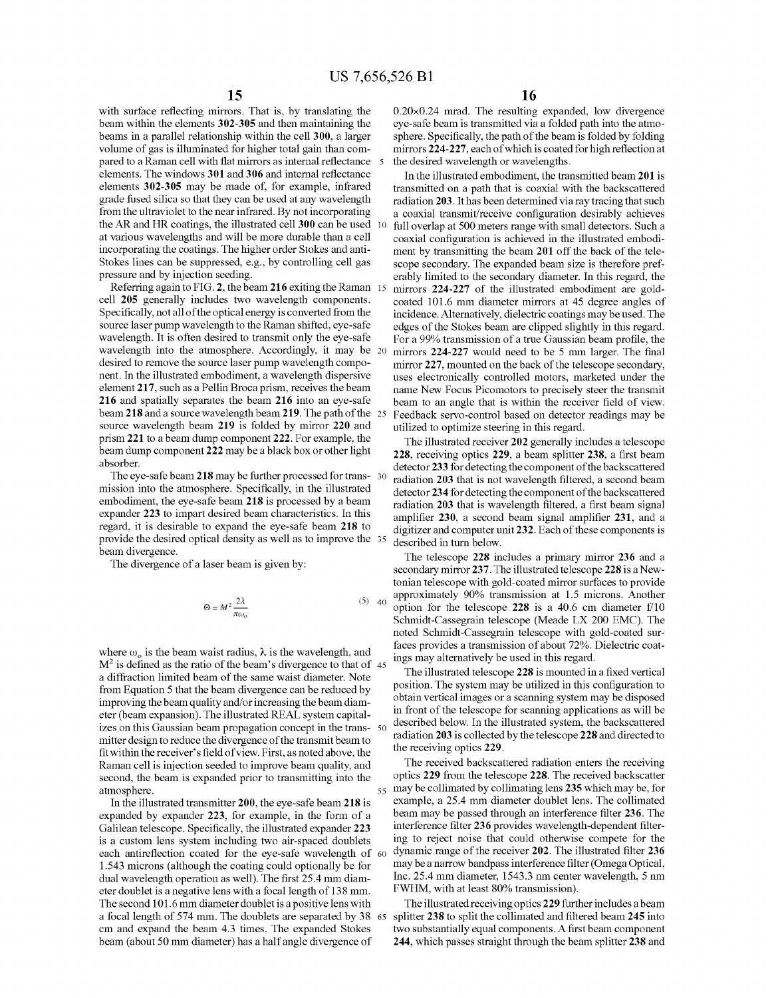with surface reflecting mirrors. That is, by translating the beam within the elements **302-305** and then maintaining the beams in a parallel relationship within the cell **300,** a larger volume of gas is illuminated for higher total gain than compared to a Raman cell with flat mirrors as internal reflectance 5 elements. The windows **301** and **306** and internal reflectance elements **302-305** may be made of, for example, infrared grade fused silica so that they can be used at any wavelength from the ultraviolet to the near infrared. By not incorporating the AR and HR coatings, the illustrated cell **300** can be used at various wavelengths and will be more durable than a cell incorporating the coatings. The higher order Stokes and anti-Stokes lines can be suppressed, e.g., by controlling cell gas pressure and by injection seeding.

Referring again to FIG. **2,** the beam **216** exiting the Raman cell **205** generally includes two wavelength components. Specifically, not all of the optical energy is converted from the source laser pump wavelength to the Raman shifted, eye-safe wavelength. It is often desired to transmit only the eye-safe wavelength into the atmosphere. Accordingly, it may be 20 desired to remove the source laser pump wavelength component. In the illustrated embodiment, a wavelength dispersive element **217,** such as a Pellin Broca prism, receives the beam **216** and spatially separates the beam **216** into an eye-safe beam **218** and a source wavelength beam **219.** The path of the source wavelength beam **219** is folded by mirror **220** and prism **221** to a beam dump component **222.** For example, the beam dump component **222** may be a black box or other light absorber.

The eye-safe beam **218** may be further processed for trans- 30 mission into the atmosphere. Specifically, in the illustrated embodiment, the eye-safe beam **218** is processed by a beam expander **223** to impart desired beam characteristics. In this regard, it is desirable to expand the eye-safe beam **218** to provide the desired optical density as well as to improve the 35 beam divergence.

The divergence of a laser beam is given by:

$$
\Theta = M^2 \frac{2\lambda}{\pi \omega_o} \tag{5} \tag{5}
$$

where  $\omega_o$  is the beam waist radius,  $\lambda$  is the wavelength, and  $M<sup>2</sup>$  is defined as the ratio of the beam's divergence to that of 45 a diffraction limited beam of the same waist diameter. Note from Equation 5 that the beam divergence can be reduced by improving the beam quality and/or increasing the beam diameter (beam expansion). The illustrated REAL system capitalizes on this Gaussian beam propagation concept in the trans- 50 mitter design to reduce the divergence of the transmit beam to fit within the receiver's field of view. First, as noted above, the Raman cell is injection seeded to improve beam quality, and second, the beam is expanded prior to transmitting into the atmosphere.

In the illustrated transmitter **200,** the eye-safe beam **218** is expanded by expander **223,** for example, in the form of a Galilean telescope. Specifically, the illustrated expander **223**  is a custom lens system including two air-spaced doublets each antireflection coated for the eye-safe wavelength of 60 1.543 microns ( although the coating could optionally be for dual wavelength operation as well). The first 25.4 mm diameter doublet is a negative lens with a focal length of 138 mm. The second 101.6 mm diameter doublet is a positive lens with a focal length of 574 mm. The doublets are separated by 38 65 cm and expand the beam 4.3 times. The expanded Stokes beam (about 50 mm diameter) has a half angle divergence of

0.20x0.24 mrad. The resulting expanded, low divergence eye-safe beam is transmitted via a folded path into the atmosphere. Specifically, the path of the beam is folded by folding mirrors **224-227,** each of which is coated for high reflection at the desired wavelength or wavelengths.

In the illustrated embodiment, the transmitted beam **201** is transmitted on a path that is coaxial with the backscattered radiation **203.** It has been determined via ray tracing that such a coaxial transmit/receive configuration desirably achieves 10 full overlap at 500 meters range with small detectors. Such a coaxial configuration is achieved in the illustrated embodiment by transmitting the beam **201** off the back of the telescope secondary. The expanded beam size is therefore preferably limited to the secondary diameter. In this regard, the mirrors 224-227 of the illustrated embodiment are goldcoated 101.6 mm diameter mirrors at 45 degree angles of incidence. Alternatively, dielectric coatings may be used. The edges of the Stokes beam are clipped slightly in this regard. For a 99% transmission of a true Gaussian beam profile, the mirrors 224-227 would need to be 5 mm larger. The final mirror **227,** mounted on the back of the telescope secondary, uses electronically controlled motors, marketed under the name New Focus Picomotors to precisely steer the transmit beam to an angle that is within the receiver field of view. Feedback servo-control based on detector readings may be utilized to optimize steering in this regard.

The illustrated receiver **202** generally includes a telescope **228,** receiving optics **229,** a beam splitter **238,** a first beam detector **233** for detecting the component of the backscattered radiation **203** that is not wavelength filtered, a second beam detector **234** for detecting the component of the backscattered radiation **203** that is wavelength filtered, a first beam signal amplifier **230,** a second beam signal amplifier **231,** and a digitizer and computer unit **232.** Each of these components is described in turn below.

The telescope **228** includes a primary mirror **236** and a secondary mirror **237.** The illustrated telescope **228** is a Newtonian telescope with gold-coated mirror surfaces to provide approximately 90% transmission at 1.5 microns. Another option for the telescope **228** is a 40.6 cm diameter f/10 Schmidt-Cassegrain telescope (Meade LX 200 EMC). The noted Schmidt-Cassegrain telescope with gold-coated surfaces provides a transmission of about 72%. Dielectric coatings may alternatively be used in this regard.

The illustrated telescope **228** is mounted in a fixed vertical position. The system may be utilized in this configuration to obtain vertical images or a scarming system may be disposed in front of the telescope for scarming applications as will be described below. In the illustrated system, the backscattered radiation **203** is collected by the telescope **228** and directed to the receiving optics **229.** 

The received backscattered radiation enters the receiving optics **229** from the telescope **228.** The received backscatter 55 may be collimated by collimating lens **235** which may be, for example, a 25.4 mm diameter doublet lens. The collimated beam may be passed through an interference filter **236.** The interference filter **236** provides wavelength-dependent filtering to reject noise that could otherwise compete for the dynamic range of the receiver **202.** The illustrated filter **236**  may be a narrow bandpass interference filter (Omega Optical, Inc. 25.4 mm diameter, 1543.3 nm center wavelength, 5 nm FWHM, with at least 80% transmission).

The illustrated receiving optics **229** further includes a beam splitter **238** to split the collimated and filtered beam **245** into two substantially equal components. A first beam component **244,** which passes straight through the beam splitter **238** and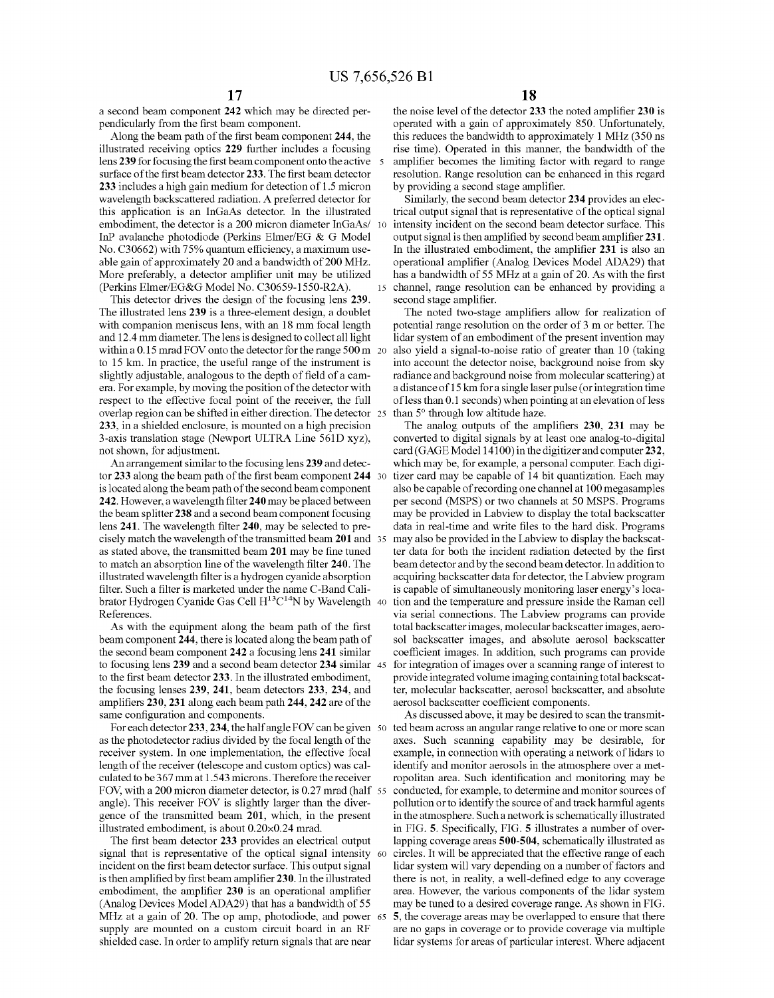a second beam component **242** which may be directed perpendicularly from the first beam component.

Along the beam path of the first beam component **244,** the illustrated receiving optics **229** further includes a focusing lens 239 for focusing the first beam component onto the active 5 surface of the first beam detector **233.** The first beam detector **233** includes a high gain medium for detection of 1.5 micron wavelength backscattered radiation. A preferred detector for this application is an InGaAs detector. In the illustrated embodiment, the detector is a 200 micron diameter InGaAs/ InP avalanche photodiode (Perkins Elmer/EG & G Model No. C30662) with 75% quantum efficiency, a maximum useable gain of approximately 20 and a bandwidth of 200 MHz. More preferably, a detector amplifier unit may be utilized (Perkins Elmer/EG&G Model No. C30659-1550-R2A).

This detector drives the design of the focusing lens **239.**  The illustrated lens **239** is a three-element design, a doublet with companion meniscus lens, with an 18 mm focal length and 12.4 mm diameter. The lens is designed to collect all light within a 0.15 mrad FOV onto the detector for the range 500 m 20 to 15 km. In practice, the useful range of the instrument is slightly adjustable, analogous to the depth of field of a camera. For example, by moving the position of the detector with respect to the effective focal point of the receiver, the full overlap region can be shifted in either direction. The detector **233,** in a shielded enclosure, is mounted on a high precision 3-axis translation stage (Newport ULTRA Line 561D xyz), not shown, for adjustment.

An arrangement similar to the focusing lens **239** and detector **233** along the beam path of the first beam component **244**  is located along the beam path of the second beam component **242.** However, a wavelength filter **240** may be placed between the beam splitter **238** and a second beam component focusing lens **241.** The wavelength filter **240,** may be selected to precisely match the wavelength of the transmitted beam **201** and as stated above, the transmitted beam **201** may be fine tuned to match an absorption line of the wavelength filter **240.** The illustrated wavelength filter is a hydrogen cyanide absorption filter. Such a filter is marketed under the name C-Band Calibrator Hydrogen Cyanide Gas Cell  $H^{13}C^{14}N$  by Wavelength 40 References.

As with the equipment along the beam path of the first beam component **244,** there is located along the beam path of the second beam component **242** a focusing lens **241** similar to focusing lens **239** and a second beam detector **234** similar to the first beam detector **233.** In the illustrated embodiment, the focusing lenses **239, 241,** beam detectors **233, 234,** and amplifiers **230,231** along each beam path **244,242** are of the same configuration and components.

For each detector 233, 234, the half angle FOV can be given 50 as the photodetector radius divided by the focal length of the receiver system. In one implementation, the effective focal length of the receiver (telescope and custom optics) was calculated to be 367 mm at 1.543 microns. Therefore the receiver FOV, with a 200 micron diameter detector, is 0.27 mrad (half 55) angle). This receiver FOY is slightly larger than the divergence of the transmitted beam **201,** which, in the present illustrated embodiment, is about 0.20x0.24 mrad.

The first beam detector **233** provides an electrical output signal that is representative of the optical signal intensity  $\omega$ incident on the first beam detector surface. This output signal is then amplified by first beam amplifier **230.** In the illustrated embodiment, the amplifier **230** is an operational amplifier (Analog Devices Model ADA29) that has a bandwidth of 55 MHz at a gain of 20. The op amp, photodiode, and power 65 supply are mounted on a custom circuit board in an RF shielded case. In order to amplify return signals that are near

the noise level of the detector **233** the noted amplifier **230** is operated with a gain of approximately 850. Unfortunately, this reduces the bandwidth to approximately 1 MHz (350 ns rise time). Operated in this manner, the bandwidth of the amplifier becomes the limiting factor with regard to range resolution. Range resolution can be enhanced in this regard by providing a second stage amplifier.

Similarly, the second beam detector **234** provides an electrical output signal that is representative of the optical signal 10 intensity incident on the second beam detector surface. This output signal is then amplified by second beam amplifier **231.**  In the illustrated embodiment, the amplifier **231** is also an operational amplifier (Analog Devices Model ADA29) that has a bandwidth of 55 MHz at a gain of 20. As with the first 15 channel, range resolution can be enhanced by providing a second stage amplifier.

The noted two-stage amplifiers allow for realization of potential range resolution on the order of 3 m or better. The lidar system of an embodiment of the present invention may also vield a signal-to-noise ratio of greater than 10 (taking into account the detector noise, background noise from sky radiance and background noise from molecular scattering) at a distance of 15 km for a single laser pulse ( or integration time of less than 0.1 seconds) when pointing at an elevation of less than  $5^\circ$  through low altitude haze.

The analog outputs of the amplifiers **230, 231** may be converted to digital signals by at least one analog-to-digital card (GAGE Model 14100) in the digitizer and computer **232,**  which may be, for example, a personal computer. Each digitizer card may be capable of 14 bit quantization. Each may also be capable of recording one channel at 100 megasamples per second (MSPS) or two channels at 50 MSPS. Programs may be provided in Labview to display the total backscatter data in real-time and write files to the hard disk. Programs may also be provided in the Labview to display the backscatter data for both the incident radiation detected by the first beam detector and by the second beam detector. In addition to acquiring backscatter data for detector, the Labview program is capable of simultaneously monitoring laser energy's location and the temperature and pressure inside the Raman cell via serial connections. The Labview programs can provide total backscatter images, molecular backscatter images, aerosol backscatter images, and absolute aerosol backscatter coefficient images. In addition, such programs can provide for integration of images over a scanning range of interest to provide integrated volume imaging containing total backscatter, molecular backscatter, aerosol backscatter, and absolute aerosol backscatter coefficient components.

As discussed above, it may be desired to scan the transmitted beam across an angular range relative to one or more scan axes. Such scanning capability may be desirable, for example, in connection with operating a network of lidars to identify and monitor aerosols in the atmosphere over a metropolitan area. Such identification and monitoring may be conducted, for example, to determine and monitor sources of pollution or to identify the source of and track harmful agents in the atmosphere. Such a network is schematically illustrated in FIG. **5.** Specifically, FIG. **5** illustrates a number of overlapping coverage areas **500-504,** schematically illustrated as circles. It will be appreciated that the effective range of each lidar system will vary depending on a number of factors and there is not, in reality, a well-defined edge to any coverage area. However, the various components of the lidar system may be tuned to a desired coverage range. As shown in FIG. 65 **5,** the coverage areas may be overlapped to ensure that there are no gaps in coverage or to provide coverage via multiple lidar systems for areas of particular interest. Where adjacent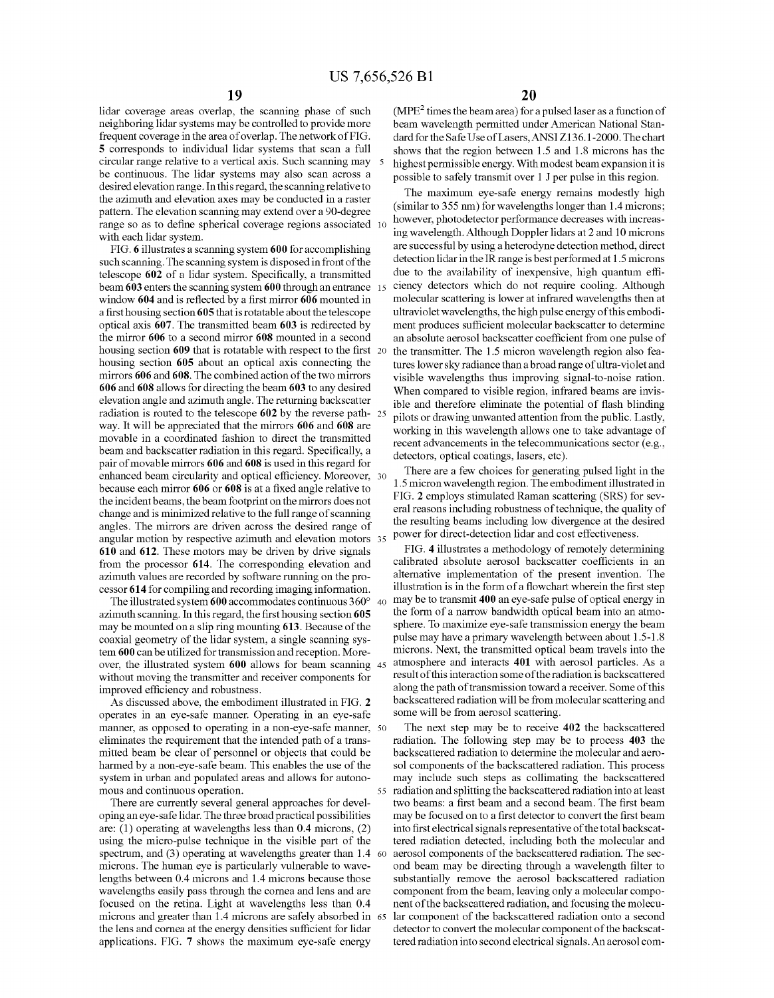lidar coverage areas overlap, the scanning phase of such neighboring lidar systems may be controlled to provide more frequent coverage in the area of overlap. The network of FIG. **5** corresponds to individual lidar systems that scan a full circular range relative to a vertical axis. Such scanning may 5 be continuous. The lidar systems may also scan across a desired elevation range. In this regard, the scanning relative to the azimuth and elevation axes may be conducted in a raster pattern. The elevation scanning may extend over a 90-degree range so as to define spherical coverage regions associated 10 with each lidar system.

FIG. **6** illustrates a scanning system **600** for accomplishing such scanning. The scanning system is disposed in front of the telescope **602** of a lidar system. Specifically, a transmitted beam **603** enters the scanning system **600** through an entrance 15 window **604** and is reflected by a first mirror **606** mounted in a first housing section **605** that is rotatable about the telescope optical axis **607.** The transmitted beam **603** is redirected by the mirror **606** to a second mirror **608** mounted in a second housing section **609** that is rotatable with respect to the first housing section **605** about an optical axis connecting the mirrors **606** and **608.** The combined action of the two mirrors **606** and **608** allows for directing the beam **603** to any desired elevation angle and azimuth angle. The returning backscatter radiation is routed to the telescope **602** by the reverse pathway. It will be appreciated that the mirrors **606** and **608** are movable in a coordinated fashion to direct the transmitted beam and backscatter radiation in this regard. Specifically, a pair of movable mirrors **606 and 608** is used in this regard for enhanced beam circularity and optical efficiency. Moreover, 30 because each mirror **606 or 608** is at a fixed angle relative to the incident beams, the beam footprint on the mirrors does not change and is minimized relative to the full range of scanning angles. The mirrors are driven across the desired range of angular motion by respective azimuth and elevation motors **610** and **612.** These motors may be driven by drive signals from the processor **614.** The corresponding elevation and azimuth values are recorded by software running on the processor **614** for compiling and recording imaging information.

The illustrated system **600** accommodates continuous 360° 40 azimuth scanning. In this regard, the first housing section **605**  may be mounted on a slip ring mounting **613.** Because of the coaxial geometry of the lidar system, a single scanning system **600** can be utilized for transmission and reception. Moreover, the illustrated system **600** allows for beam scanning 45 without moving the transmitter and receiver components for improved efficiency and robustness.

As discussed above, the embodiment illustrated in FIG. **2**  operates in an eye-safe manner. Operating in an eye-safe manner, as opposed to operating in a non-eye-safe manner, 50 eliminates the requirement that the intended path of a transmitted beam be clear of personnel or objects that could be harmed by a non-eye-safe beam. This enables the use of the system in urban and populated areas and allows for autonomous and continuous operation.

There are currently several general approaches for developing an eye-safe lidar. The three broad practical possibilities are: (1) operating at wavelengths less than 0.4 microns, (2) using the micro-pulse technique in the visible part of the spectrum, and (3) operating at wavelengths greater than 1.4 60 microns. The human eye is particularly vulnerable to wavelengths between 0.4 microns and 1.4 microns because those wavelengths easily pass through the cornea and lens and are focused on the retina. Light at wavelengths less than 0.4 microns and greater than 1.4 microns are safely absorbed in 65 the lens and cornea at the energy densities sufficient for lidar applications. FIG. **7** shows the maximum eye-safe energy

 $(MPE<sup>2</sup>$  times the beam area) for a pulsed laser as a function of beam wavelength permitted under American National Standard for the Safe Use of Lasers, ANSI Z136.1-2000. The chart shows that the region between 1.5 and 1.8 microns has the highest permissible energy. With modest beam expansion it is possible to safely transmit over 1 J per pulse in this region.

The maximum eye-safe energy remains modestly high (similar to 355 nm) for wavelengths longer than 1.4 microns; however, photodetector performance decreases with increasing wavelength. Although Doppler lidars at 2 and 10 microns are successful by using a heterodyne detection method, direct detection lidar in the IR range is best performed at 1.5 microns due to the availability of inexpensive, high quantum efficiency detectors which do not require cooling. Although molecular scattering is lower at infrared wavelengths then at ultraviolet wavelengths, the high pulse energy of this embodiment produces sufficient molecular backscatter to determine an absolute aerosol backscatter coefficient from one pulse of the transmitter. The 1.5 micron wavelength region also features lower sky radiance than a broad range of ultra-violet and visible wavelengths thus improving signal-to-noise ration. When compared to visible region, infrared beams are invis-<br>ible and therefore eliminate the potential of flash blinding pilots or drawing unwanted attention from the public. Lastly, working in this wavelength allows one to take advantage of recent advancements in the telecommunications sector (e.g., detectors, optical coatings, lasers, etc).

There are a few choices for generating pulsed light in the 1.5 micron wavelength region. The embodiment illustrated in FIG. **2** employs stimulated Raman scattering (SRS) for several reasons including robustness of technique, the quality of the resulting beams including low divergence at the desired power for direct-detection lidar and cost effectiveness.

FIG. **4** illustrates a methodology of remotely determining calibrated absolute aerosol backscatter coefficients in an alternative implementation of the present invention. The illustration is in the form of a flowchart wherein the first step may be to transmit **400** an eye-safe pulse of optical energy in the form of a narrow bandwidth optical beam into an atmosphere. To maximize eye-safe transmission energy the beam pulse may have a primary wavelength between about 1.5-1.8 microns. Next, the transmitted optical beam travels into the atmosphere and interacts **401** with aerosol particles. As a result of this interaction some of the radiation is backscattered along the path of transmission toward a receiver. Some of this backscattered radiation will be from molecular scattering and some will be from aerosol scattering.

The next step may be to receive **402** the backscattered radiation. The following step may be to process **403** the backscattered radiation to determine the molecular and aerosol components of the backscattered radiation. This process may include such steps as collimating the backscattered 55 radiation and splitting the backscattered radiation into at least two beams: a first beam and a second beam. The first beam may be focused on to a first detector to convert the first beam into first electrical signals representative of the total backscattered radiation detected, including both the molecular and aerosol components of the backscattered radiation. The second beam may be directing through a wavelength filter to substantially remove the aerosol backscattered radiation component from the beam, leaving only a molecular component of the backscattered radiation, and focusing the molecular component of the backscattered radiation onto a second detector to convert the molecular component of the backscattered radiation into second electrical signals. An aerosol com